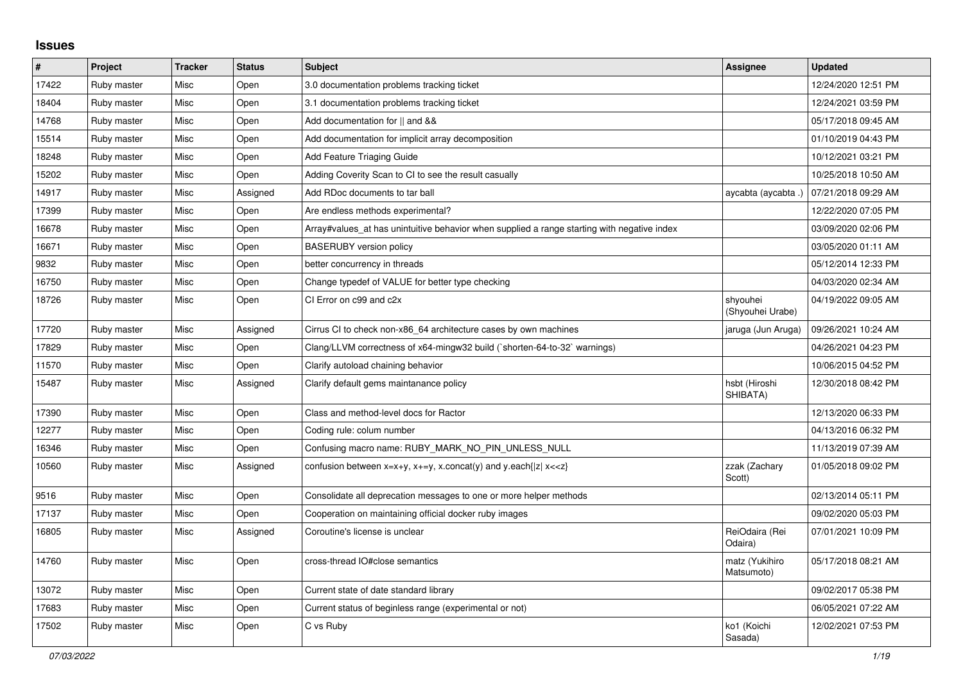## **Issues**

| $\sharp$ | Project     | <b>Tracker</b> | <b>Status</b> | <b>Subject</b>                                                                              | <b>Assignee</b>              | <b>Updated</b>      |
|----------|-------------|----------------|---------------|---------------------------------------------------------------------------------------------|------------------------------|---------------------|
| 17422    | Ruby master | Misc           | Open          | 3.0 documentation problems tracking ticket                                                  |                              | 12/24/2020 12:51 PM |
| 18404    | Ruby master | Misc           | Open          | 3.1 documentation problems tracking ticket                                                  |                              | 12/24/2021 03:59 PM |
| 14768    | Ruby master | Misc           | Open          | Add documentation for    and &&                                                             |                              | 05/17/2018 09:45 AM |
| 15514    | Ruby master | Misc           | Open          | Add documentation for implicit array decomposition                                          |                              | 01/10/2019 04:43 PM |
| 18248    | Ruby master | Misc           | Open          | Add Feature Triaging Guide                                                                  |                              | 10/12/2021 03:21 PM |
| 15202    | Ruby master | Misc           | Open          | Adding Coverity Scan to CI to see the result casually                                       |                              | 10/25/2018 10:50 AM |
| 14917    | Ruby master | Misc           | Assigned      | Add RDoc documents to tar ball                                                              | aycabta (aycabta .)          | 07/21/2018 09:29 AM |
| 17399    | Ruby master | Misc           | Open          | Are endless methods experimental?                                                           |                              | 12/22/2020 07:05 PM |
| 16678    | Ruby master | Misc           | Open          | Array#values_at has unintuitive behavior when supplied a range starting with negative index |                              | 03/09/2020 02:06 PM |
| 16671    | Ruby master | Misc           | Open          | <b>BASERUBY</b> version policy                                                              |                              | 03/05/2020 01:11 AM |
| 9832     | Ruby master | Misc           | Open          | better concurrency in threads                                                               |                              | 05/12/2014 12:33 PM |
| 16750    | Ruby master | Misc           | Open          | Change typedef of VALUE for better type checking                                            |                              | 04/03/2020 02:34 AM |
| 18726    | Ruby master | Misc           | Open          | CI Error on c99 and c2x                                                                     | shyouhei<br>(Shyouhei Urabe) | 04/19/2022 09:05 AM |
| 17720    | Ruby master | Misc           | Assigned      | Cirrus CI to check non-x86 64 architecture cases by own machines                            | jaruga (Jun Aruga)           | 09/26/2021 10:24 AM |
| 17829    | Ruby master | Misc           | Open          | Clang/LLVM correctness of x64-mingw32 build (`shorten-64-to-32` warnings)                   |                              | 04/26/2021 04:23 PM |
| 11570    | Ruby master | Misc           | Open          | Clarify autoload chaining behavior                                                          |                              | 10/06/2015 04:52 PM |
| 15487    | Ruby master | Misc           | Assigned      | Clarify default gems maintanance policy                                                     | hsbt (Hiroshi<br>SHIBATA)    | 12/30/2018 08:42 PM |
| 17390    | Ruby master | Misc           | Open          | Class and method-level docs for Ractor                                                      |                              | 12/13/2020 06:33 PM |
| 12277    | Ruby master | Misc           | Open          | Coding rule: colum number                                                                   |                              | 04/13/2016 06:32 PM |
| 16346    | Ruby master | Misc           | Open          | Confusing macro name: RUBY MARK NO PIN UNLESS NULL                                          |                              | 11/13/2019 07:39 AM |
| 10560    | Ruby master | Misc           | Assigned      | confusion between $x=x+y$ , $x+=y$ , x.concat(y) and y.each{ z  $x<}$                       | zzak (Zachary<br>Scott)      | 01/05/2018 09:02 PM |
| 9516     | Ruby master | Misc           | Open          | Consolidate all deprecation messages to one or more helper methods                          |                              | 02/13/2014 05:11 PM |
| 17137    | Ruby master | Misc           | Open          | Cooperation on maintaining official docker ruby images                                      |                              | 09/02/2020 05:03 PM |
| 16805    | Ruby master | Misc           | Assigned      | Coroutine's license is unclear                                                              | ReiOdaira (Rei<br>Odaira)    | 07/01/2021 10:09 PM |
| 14760    | Ruby master | Misc           | Open          | cross-thread IO#close semantics                                                             | matz (Yukihiro<br>Matsumoto) | 05/17/2018 08:21 AM |
| 13072    | Ruby master | Misc           | Open          | Current state of date standard library                                                      |                              | 09/02/2017 05:38 PM |
| 17683    | Ruby master | Misc           | Open          | Current status of beginless range (experimental or not)                                     |                              | 06/05/2021 07:22 AM |
| 17502    | Ruby master | Misc           | Open          | C vs Ruby                                                                                   | ko1 (Koichi<br>Sasada)       | 12/02/2021 07:53 PM |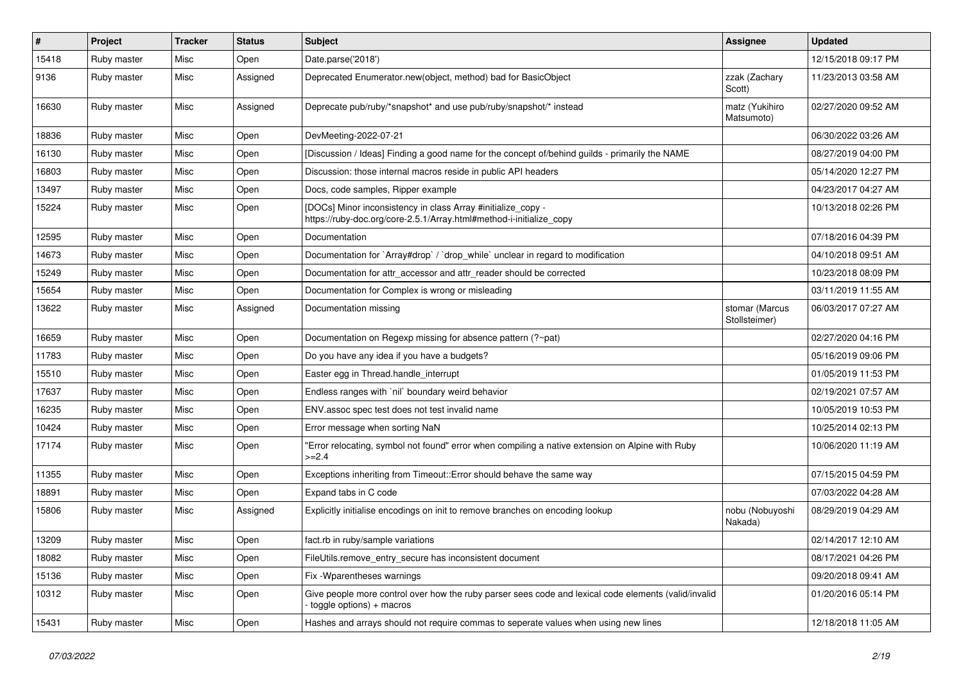| #     | Project     | <b>Tracker</b> | <b>Status</b> | <b>Subject</b>                                                                                                                       | <b>Assignee</b>                 | <b>Updated</b>      |
|-------|-------------|----------------|---------------|--------------------------------------------------------------------------------------------------------------------------------------|---------------------------------|---------------------|
| 15418 | Ruby master | Misc           | Open          | Date.parse('2018')                                                                                                                   |                                 | 12/15/2018 09:17 PM |
| 9136  | Ruby master | Misc           | Assigned      | Deprecated Enumerator.new(object, method) bad for BasicObject                                                                        | zzak (Zachary<br>Scott)         | 11/23/2013 03:58 AM |
| 16630 | Ruby master | Misc           | Assigned      | Deprecate pub/ruby/*snapshot* and use pub/ruby/snapshot/* instead                                                                    | matz (Yukihiro<br>Matsumoto)    | 02/27/2020 09:52 AM |
| 18836 | Ruby master | Misc           | Open          | DevMeeting-2022-07-21                                                                                                                |                                 | 06/30/2022 03:26 AM |
| 16130 | Ruby master | Misc           | Open          | [Discussion / Ideas] Finding a good name for the concept of/behind guilds - primarily the NAME                                       |                                 | 08/27/2019 04:00 PM |
| 16803 | Ruby master | Misc           | Open          | Discussion: those internal macros reside in public API headers                                                                       |                                 | 05/14/2020 12:27 PM |
| 13497 | Ruby master | Misc           | Open          | Docs, code samples, Ripper example                                                                                                   |                                 | 04/23/2017 04:27 AM |
| 15224 | Ruby master | Misc           | Open          | [DOCs] Minor inconsistency in class Array #initialize_copy -<br>https://ruby-doc.org/core-2.5.1/Array.html#method-i-initialize_copy  |                                 | 10/13/2018 02:26 PM |
| 12595 | Ruby master | Misc           | Open          | Documentation                                                                                                                        |                                 | 07/18/2016 04:39 PM |
| 14673 | Ruby master | Misc           | Open          | Documentation for `Array#drop` / `drop_while` unclear in regard to modification                                                      |                                 | 04/10/2018 09:51 AM |
| 15249 | Ruby master | Misc           | Open          | Documentation for attr accessor and attr reader should be corrected                                                                  |                                 | 10/23/2018 08:09 PM |
| 15654 | Ruby master | Misc           | Open          | Documentation for Complex is wrong or misleading                                                                                     |                                 | 03/11/2019 11:55 AM |
| 13622 | Ruby master | Misc           | Assigned      | Documentation missing                                                                                                                | stomar (Marcus<br>Stollsteimer) | 06/03/2017 07:27 AM |
| 16659 | Ruby master | Misc           | Open          | Documentation on Regexp missing for absence pattern (?~pat)                                                                          |                                 | 02/27/2020 04:16 PM |
| 11783 | Ruby master | Misc           | Open          | Do you have any idea if you have a budgets?                                                                                          |                                 | 05/16/2019 09:06 PM |
| 15510 | Ruby master | Misc           | Open          | Easter egg in Thread.handle_interrupt                                                                                                |                                 | 01/05/2019 11:53 PM |
| 17637 | Ruby master | Misc           | Open          | Endless ranges with `nil` boundary weird behavior                                                                                    |                                 | 02/19/2021 07:57 AM |
| 16235 | Ruby master | Misc           | Open          | ENV assoc spec test does not test invalid name                                                                                       |                                 | 10/05/2019 10:53 PM |
| 10424 | Ruby master | Misc           | Open          | Error message when sorting NaN                                                                                                       |                                 | 10/25/2014 02:13 PM |
| 17174 | Ruby master | Misc           | Open          | 'Error relocating, symbol not found" error when compiling a native extension on Alpine with Ruby<br>$>=2.4$                          |                                 | 10/06/2020 11:19 AM |
| 11355 | Ruby master | Misc           | Open          | Exceptions inheriting from Timeout:: Error should behave the same way                                                                |                                 | 07/15/2015 04:59 PM |
| 18891 | Ruby master | Misc           | Open          | Expand tabs in C code                                                                                                                |                                 | 07/03/2022 04:28 AM |
| 15806 | Ruby master | Misc           | Assigned      | Explicitly initialise encodings on init to remove branches on encoding lookup                                                        | nobu (Nobuyoshi<br>Nakada)      | 08/29/2019 04:29 AM |
| 13209 | Ruby master | Misc           | Open          | fact.rb in ruby/sample variations                                                                                                    |                                 | 02/14/2017 12:10 AM |
| 18082 | Ruby master | Misc           | Open          | FileUtils.remove_entry_secure has inconsistent document                                                                              |                                 | 08/17/2021 04:26 PM |
| 15136 | Ruby master | Misc           | Open          | Fix - Wparentheses warnings                                                                                                          |                                 | 09/20/2018 09:41 AM |
| 10312 | Ruby master | Misc           | Open          | Give people more control over how the ruby parser sees code and lexical code elements (valid/invalid<br>$-$ toggle options) + macros |                                 | 01/20/2016 05:14 PM |
| 15431 | Ruby master | Misc           | Open          | Hashes and arrays should not require commas to seperate values when using new lines                                                  |                                 | 12/18/2018 11:05 AM |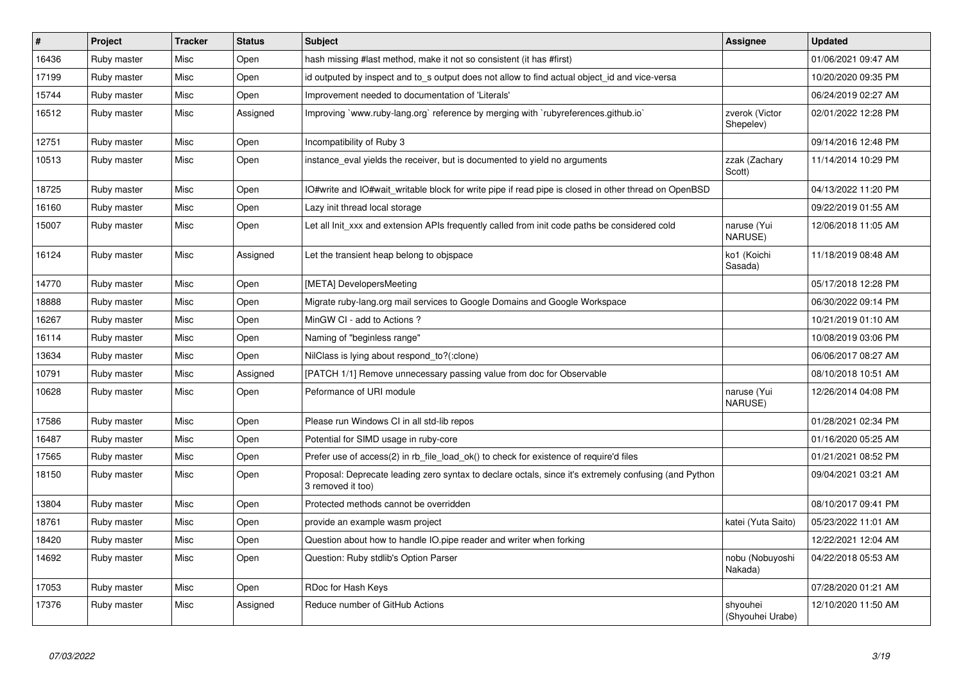| $\pmb{\sharp}$ | <b>Project</b> | <b>Tracker</b> | <b>Status</b> | <b>Subject</b>                                                                                                             | <b>Assignee</b>              | <b>Updated</b>      |
|----------------|----------------|----------------|---------------|----------------------------------------------------------------------------------------------------------------------------|------------------------------|---------------------|
| 16436          | Ruby master    | Misc           | Open          | hash missing #last method, make it not so consistent (it has #first)                                                       |                              | 01/06/2021 09:47 AM |
| 17199          | Ruby master    | Misc           | Open          | id outputed by inspect and to_s output does not allow to find actual object_id and vice-versa                              |                              | 10/20/2020 09:35 PM |
| 15744          | Ruby master    | Misc           | Open          | Improvement needed to documentation of 'Literals'                                                                          |                              | 06/24/2019 02:27 AM |
| 16512          | Ruby master    | Misc           | Assigned      | Improving `www.ruby-lang.org` reference by merging with `rubyreferences.github.io`                                         | zverok (Victor<br>Shepelev)  | 02/01/2022 12:28 PM |
| 12751          | Ruby master    | Misc           | Open          | Incompatibility of Ruby 3                                                                                                  |                              | 09/14/2016 12:48 PM |
| 10513          | Ruby master    | Misc           | Open          | instance eval yields the receiver, but is documented to yield no arguments                                                 | zzak (Zachary<br>Scott)      | 11/14/2014 10:29 PM |
| 18725          | Ruby master    | Misc           | Open          | IO#write and IO#wait writable block for write pipe if read pipe is closed in other thread on OpenBSD                       |                              | 04/13/2022 11:20 PM |
| 16160          | Ruby master    | Misc           | Open          | Lazy init thread local storage                                                                                             |                              | 09/22/2019 01:55 AM |
| 15007          | Ruby master    | Misc           | Open          | Let all Init_xxx and extension APIs frequently called from init code paths be considered cold                              | naruse (Yui<br>NARUSE)       | 12/06/2018 11:05 AM |
| 16124          | Ruby master    | Misc           | Assigned      | Let the transient heap belong to objspace                                                                                  | ko1 (Koichi<br>Sasada)       | 11/18/2019 08:48 AM |
| 14770          | Ruby master    | Misc           | Open          | [META] DevelopersMeeting                                                                                                   |                              | 05/17/2018 12:28 PM |
| 18888          | Ruby master    | Misc           | Open          | Migrate ruby-lang.org mail services to Google Domains and Google Workspace                                                 |                              | 06/30/2022 09:14 PM |
| 16267          | Ruby master    | Misc           | Open          | MinGW CI - add to Actions?                                                                                                 |                              | 10/21/2019 01:10 AM |
| 16114          | Ruby master    | Misc           | Open          | Naming of "beginless range"                                                                                                |                              | 10/08/2019 03:06 PM |
| 13634          | Ruby master    | Misc           | Open          | NilClass is lying about respond_to?(:clone)                                                                                |                              | 06/06/2017 08:27 AM |
| 10791          | Ruby master    | Misc           | Assigned      | [PATCH 1/1] Remove unnecessary passing value from doc for Observable                                                       |                              | 08/10/2018 10:51 AM |
| 10628          | Ruby master    | Misc           | Open          | Peformance of URI module                                                                                                   | naruse (Yui<br>NARUSE)       | 12/26/2014 04:08 PM |
| 17586          | Ruby master    | Misc           | Open          | Please run Windows CI in all std-lib repos                                                                                 |                              | 01/28/2021 02:34 PM |
| 16487          | Ruby master    | Misc           | Open          | Potential for SIMD usage in ruby-core                                                                                      |                              | 01/16/2020 05:25 AM |
| 17565          | Ruby master    | Misc           | Open          | Prefer use of access(2) in rb_file_load_ok() to check for existence of require'd files                                     |                              | 01/21/2021 08:52 PM |
| 18150          | Ruby master    | Misc           | Open          | Proposal: Deprecate leading zero syntax to declare octals, since it's extremely confusing (and Python<br>3 removed it too) |                              | 09/04/2021 03:21 AM |
| 13804          | Ruby master    | Misc           | Open          | Protected methods cannot be overridden                                                                                     |                              | 08/10/2017 09:41 PM |
| 18761          | Ruby master    | Misc           | Open          | provide an example wasm project                                                                                            | katei (Yuta Saito)           | 05/23/2022 11:01 AM |
| 18420          | Ruby master    | Misc           | Open          | Question about how to handle IO.pipe reader and writer when forking                                                        |                              | 12/22/2021 12:04 AM |
| 14692          | Ruby master    | Misc           | Open          | Question: Ruby stdlib's Option Parser                                                                                      | nobu (Nobuyoshi<br>Nakada)   | 04/22/2018 05:53 AM |
| 17053          | Ruby master    | Misc           | Open          | RDoc for Hash Keys                                                                                                         |                              | 07/28/2020 01:21 AM |
| 17376          | Ruby master    | Misc           | Assigned      | Reduce number of GitHub Actions                                                                                            | shyouhei<br>(Shyouhei Urabe) | 12/10/2020 11:50 AM |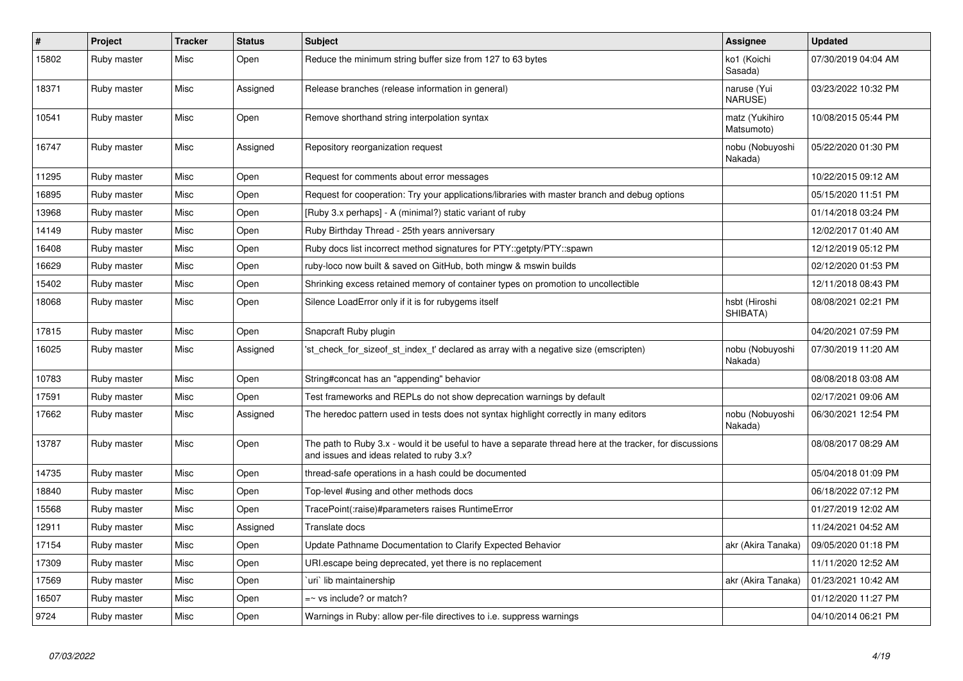| $\vert$ # | Project     | <b>Tracker</b> | <b>Status</b> | <b>Subject</b>                                                                                                                                        | Assignee                      | <b>Updated</b>      |
|-----------|-------------|----------------|---------------|-------------------------------------------------------------------------------------------------------------------------------------------------------|-------------------------------|---------------------|
| 15802     | Ruby master | Misc           | Open          | Reduce the minimum string buffer size from 127 to 63 bytes                                                                                            | ko1 (Koichi<br>Sasada)        | 07/30/2019 04:04 AM |
| 18371     | Ruby master | Misc           | Assigned      | Release branches (release information in general)                                                                                                     | naruse (Yui<br><b>NARUSE)</b> | 03/23/2022 10:32 PM |
| 10541     | Ruby master | Misc           | Open          | Remove shorthand string interpolation syntax                                                                                                          | matz (Yukihiro<br>Matsumoto)  | 10/08/2015 05:44 PM |
| 16747     | Ruby master | Misc           | Assigned      | Repository reorganization request                                                                                                                     | nobu (Nobuyoshi<br>Nakada)    | 05/22/2020 01:30 PM |
| 11295     | Ruby master | Misc           | Open          | Request for comments about error messages                                                                                                             |                               | 10/22/2015 09:12 AM |
| 16895     | Ruby master | Misc           | Open          | Request for cooperation: Try your applications/libraries with master branch and debug options                                                         |                               | 05/15/2020 11:51 PM |
| 13968     | Ruby master | Misc           | Open          | [Ruby 3.x perhaps] - A (minimal?) static variant of ruby                                                                                              |                               | 01/14/2018 03:24 PM |
| 14149     | Ruby master | Misc           | Open          | Ruby Birthday Thread - 25th years anniversary                                                                                                         |                               | 12/02/2017 01:40 AM |
| 16408     | Ruby master | Misc           | Open          | Ruby docs list incorrect method signatures for PTY::getpty/PTY::spawn                                                                                 |                               | 12/12/2019 05:12 PM |
| 16629     | Ruby master | Misc           | Open          | ruby-loco now built & saved on GitHub, both mingw & mswin builds                                                                                      |                               | 02/12/2020 01:53 PM |
| 15402     | Ruby master | Misc           | Open          | Shrinking excess retained memory of container types on promotion to uncollectible                                                                     |                               | 12/11/2018 08:43 PM |
| 18068     | Ruby master | Misc           | Open          | Silence LoadError only if it is for rubygems itself                                                                                                   | hsbt (Hiroshi<br>SHIBATA)     | 08/08/2021 02:21 PM |
| 17815     | Ruby master | Misc           | Open          | Snapcraft Ruby plugin                                                                                                                                 |                               | 04/20/2021 07:59 PM |
| 16025     | Ruby master | Misc           | Assigned      | 'st check for sizeof st index t' declared as array with a negative size (emscripten)                                                                  | nobu (Nobuyoshi<br>Nakada)    | 07/30/2019 11:20 AM |
| 10783     | Ruby master | Misc           | Open          | String#concat has an "appending" behavior                                                                                                             |                               | 08/08/2018 03:08 AM |
| 17591     | Ruby master | Misc           | Open          | Test frameworks and REPLs do not show deprecation warnings by default                                                                                 |                               | 02/17/2021 09:06 AM |
| 17662     | Ruby master | Misc           | Assigned      | The heredoc pattern used in tests does not syntax highlight correctly in many editors                                                                 | nobu (Nobuyoshi<br>Nakada)    | 06/30/2021 12:54 PM |
| 13787     | Ruby master | Misc           | Open          | The path to Ruby 3.x - would it be useful to have a separate thread here at the tracker, for discussions<br>and issues and ideas related to ruby 3.x? |                               | 08/08/2017 08:29 AM |
| 14735     | Ruby master | Misc           | Open          | thread-safe operations in a hash could be documented                                                                                                  |                               | 05/04/2018 01:09 PM |
| 18840     | Ruby master | Misc           | Open          | Top-level #using and other methods docs                                                                                                               |                               | 06/18/2022 07:12 PM |
| 15568     | Ruby master | Misc           | Open          | TracePoint(:raise)#parameters raises RuntimeError                                                                                                     |                               | 01/27/2019 12:02 AM |
| 12911     | Ruby master | Misc           | Assigned      | Translate docs                                                                                                                                        |                               | 11/24/2021 04:52 AM |
| 17154     | Ruby master | Misc           | Open          | Update Pathname Documentation to Clarify Expected Behavior                                                                                            | akr (Akira Tanaka)            | 09/05/2020 01:18 PM |
| 17309     | Ruby master | Misc           | Open          | URI.escape being deprecated, yet there is no replacement                                                                                              |                               | 11/11/2020 12:52 AM |
| 17569     | Ruby master | Misc           | Open          | 'uri' lib maintainership                                                                                                                              | akr (Akira Tanaka)            | 01/23/2021 10:42 AM |
| 16507     | Ruby master | Misc           | Open          | $=$ vs include? or match?                                                                                                                             |                               | 01/12/2020 11:27 PM |
| 9724      | Ruby master | Misc           | Open          | Warnings in Ruby: allow per-file directives to i.e. suppress warnings                                                                                 |                               | 04/10/2014 06:21 PM |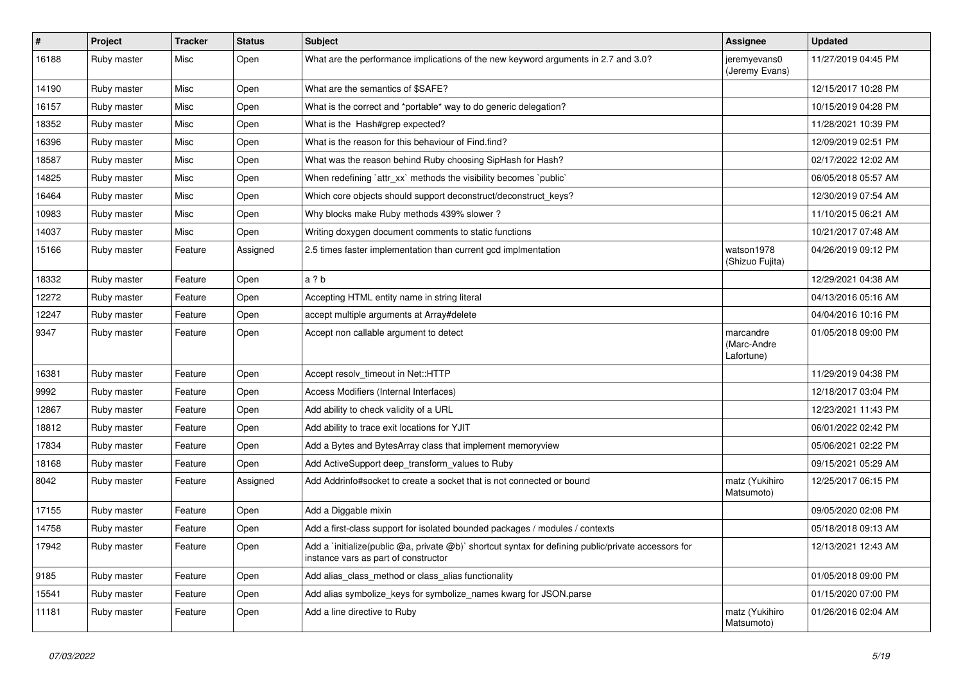| ∦     | Project     | <b>Tracker</b> | <b>Status</b> | <b>Subject</b>                                                                                                                              | <b>Assignee</b>                        | <b>Updated</b>      |
|-------|-------------|----------------|---------------|---------------------------------------------------------------------------------------------------------------------------------------------|----------------------------------------|---------------------|
| 16188 | Ruby master | Misc           | Open          | What are the performance implications of the new keyword arguments in 2.7 and 3.0?                                                          | jeremyevans0<br>(Jeremy Evans)         | 11/27/2019 04:45 PM |
| 14190 | Ruby master | Misc           | Open          | What are the semantics of \$SAFE?                                                                                                           |                                        | 12/15/2017 10:28 PM |
| 16157 | Ruby master | Misc           | Open          | What is the correct and *portable* way to do generic delegation?                                                                            |                                        | 10/15/2019 04:28 PM |
| 18352 | Ruby master | Misc           | Open          | What is the Hash#grep expected?                                                                                                             |                                        | 11/28/2021 10:39 PM |
| 16396 | Ruby master | Misc           | Open          | What is the reason for this behaviour of Find.find?                                                                                         |                                        | 12/09/2019 02:51 PM |
| 18587 | Ruby master | Misc           | Open          | What was the reason behind Ruby choosing SipHash for Hash?                                                                                  |                                        | 02/17/2022 12:02 AM |
| 14825 | Ruby master | Misc           | Open          | When redefining `attr xx` methods the visibility becomes `public`                                                                           |                                        | 06/05/2018 05:57 AM |
| 16464 | Ruby master | Misc           | Open          | Which core objects should support deconstruct/deconstruct keys?                                                                             |                                        | 12/30/2019 07:54 AM |
| 10983 | Ruby master | Misc           | Open          | Why blocks make Ruby methods 439% slower?                                                                                                   |                                        | 11/10/2015 06:21 AM |
| 14037 | Ruby master | Misc           | Open          | Writing doxygen document comments to static functions                                                                                       |                                        | 10/21/2017 07:48 AM |
| 15166 | Ruby master | Feature        | Assigned      | 2.5 times faster implementation than current gcd implmentation                                                                              | watson1978<br>(Shizuo Fujita)          | 04/26/2019 09:12 PM |
| 18332 | Ruby master | Feature        | Open          | a ? b                                                                                                                                       |                                        | 12/29/2021 04:38 AM |
| 12272 | Ruby master | Feature        | Open          | Accepting HTML entity name in string literal                                                                                                |                                        | 04/13/2016 05:16 AM |
| 12247 | Ruby master | Feature        | Open          | accept multiple arguments at Array#delete                                                                                                   |                                        | 04/04/2016 10:16 PM |
| 9347  | Ruby master | Feature        | Open          | Accept non callable argument to detect                                                                                                      | marcandre<br>(Marc-Andre<br>Lafortune) | 01/05/2018 09:00 PM |
| 16381 | Ruby master | Feature        | Open          | Accept resolv timeout in Net::HTTP                                                                                                          |                                        | 11/29/2019 04:38 PM |
| 9992  | Ruby master | Feature        | Open          | Access Modifiers (Internal Interfaces)                                                                                                      |                                        | 12/18/2017 03:04 PM |
| 12867 | Ruby master | Feature        | Open          | Add ability to check validity of a URL                                                                                                      |                                        | 12/23/2021 11:43 PM |
| 18812 | Ruby master | Feature        | Open          | Add ability to trace exit locations for YJIT                                                                                                |                                        | 06/01/2022 02:42 PM |
| 17834 | Ruby master | Feature        | Open          | Add a Bytes and BytesArray class that implement memoryview                                                                                  |                                        | 05/06/2021 02:22 PM |
| 18168 | Ruby master | Feature        | Open          | Add ActiveSupport deep transform values to Ruby                                                                                             |                                        | 09/15/2021 05:29 AM |
| 8042  | Ruby master | Feature        | Assigned      | Add Addrinfo#socket to create a socket that is not connected or bound                                                                       | matz (Yukihiro<br>Matsumoto)           | 12/25/2017 06:15 PM |
| 17155 | Ruby master | Feature        | Open          | Add a Diggable mixin                                                                                                                        |                                        | 09/05/2020 02:08 PM |
| 14758 | Ruby master | Feature        | Open          | Add a first-class support for isolated bounded packages / modules / contexts                                                                |                                        | 05/18/2018 09:13 AM |
| 17942 | Ruby master | Feature        | Open          | Add a `initialize(public @a, private @b)` shortcut syntax for defining public/private accessors for<br>instance vars as part of constructor |                                        | 12/13/2021 12:43 AM |
| 9185  | Ruby master | Feature        | Open          | Add alias_class_method or class_alias functionality                                                                                         |                                        | 01/05/2018 09:00 PM |
| 15541 | Ruby master | Feature        | Open          | Add alias symbolize_keys for symbolize_names kwarg for JSON.parse                                                                           |                                        | 01/15/2020 07:00 PM |
| 11181 | Ruby master | Feature        | Open          | Add a line directive to Ruby                                                                                                                | matz (Yukihiro<br>Matsumoto)           | 01/26/2016 02:04 AM |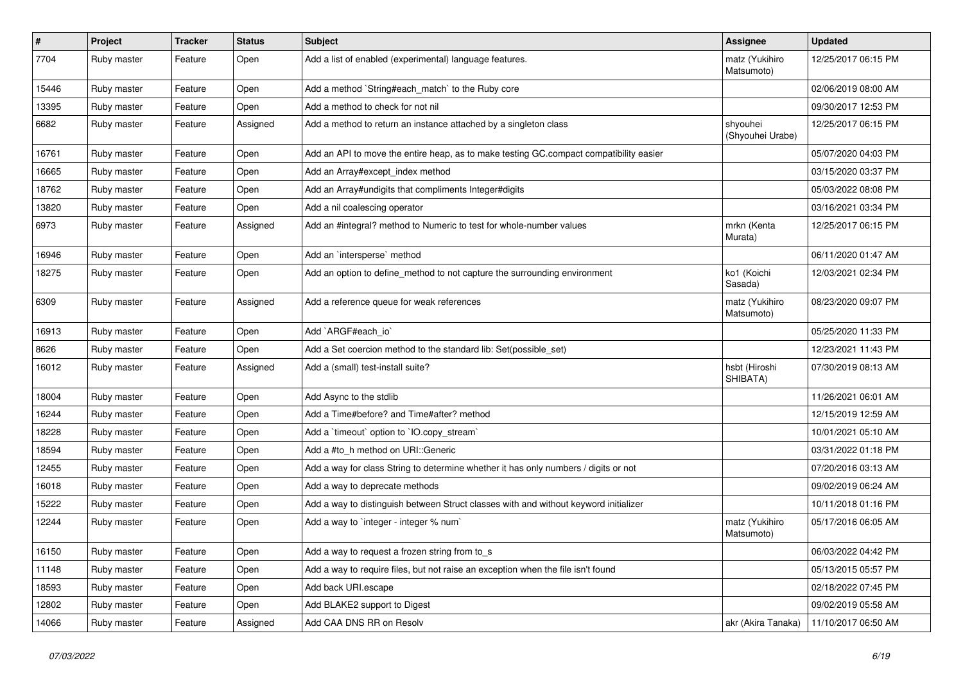| $\pmb{\#}$ | Project     | <b>Tracker</b> | <b>Status</b> | Subject                                                                                | <b>Assignee</b>              | <b>Updated</b>      |
|------------|-------------|----------------|---------------|----------------------------------------------------------------------------------------|------------------------------|---------------------|
| 7704       | Ruby master | Feature        | Open          | Add a list of enabled (experimental) language features.                                | matz (Yukihiro<br>Matsumoto) | 12/25/2017 06:15 PM |
| 15446      | Ruby master | Feature        | Open          | Add a method `String#each_match` to the Ruby core                                      |                              | 02/06/2019 08:00 AM |
| 13395      | Ruby master | Feature        | Open          | Add a method to check for not nil                                                      |                              | 09/30/2017 12:53 PM |
| 6682       | Ruby master | Feature        | Assigned      | Add a method to return an instance attached by a singleton class                       | shyouhei<br>(Shyouhei Urabe) | 12/25/2017 06:15 PM |
| 16761      | Ruby master | Feature        | Open          | Add an API to move the entire heap, as to make testing GC.compact compatibility easier |                              | 05/07/2020 04:03 PM |
| 16665      | Ruby master | Feature        | Open          | Add an Array#except_index method                                                       |                              | 03/15/2020 03:37 PM |
| 18762      | Ruby master | Feature        | Open          | Add an Array#undigits that compliments Integer#digits                                  |                              | 05/03/2022 08:08 PM |
| 13820      | Ruby master | Feature        | Open          | Add a nil coalescing operator                                                          |                              | 03/16/2021 03:34 PM |
| 6973       | Ruby master | Feature        | Assigned      | Add an #integral? method to Numeric to test for whole-number values                    | mrkn (Kenta<br>Murata)       | 12/25/2017 06:15 PM |
| 16946      | Ruby master | Feature        | Open          | Add an `intersperse` method                                                            |                              | 06/11/2020 01:47 AM |
| 18275      | Ruby master | Feature        | Open          | Add an option to define_method to not capture the surrounding environment              | ko1 (Koichi<br>Sasada)       | 12/03/2021 02:34 PM |
| 6309       | Ruby master | Feature        | Assigned      | Add a reference queue for weak references                                              | matz (Yukihiro<br>Matsumoto) | 08/23/2020 09:07 PM |
| 16913      | Ruby master | Feature        | Open          | Add `ARGF#each_io`                                                                     |                              | 05/25/2020 11:33 PM |
| 8626       | Ruby master | Feature        | Open          | Add a Set coercion method to the standard lib: Set(possible set)                       |                              | 12/23/2021 11:43 PM |
| 16012      | Ruby master | Feature        | Assigned      | Add a (small) test-install suite?                                                      | hsbt (Hiroshi<br>SHIBATA)    | 07/30/2019 08:13 AM |
| 18004      | Ruby master | Feature        | Open          | Add Async to the stdlib                                                                |                              | 11/26/2021 06:01 AM |
| 16244      | Ruby master | Feature        | Open          | Add a Time#before? and Time#after? method                                              |                              | 12/15/2019 12:59 AM |
| 18228      | Ruby master | Feature        | Open          | Add a 'timeout' option to 'IO.copy_stream'                                             |                              | 10/01/2021 05:10 AM |
| 18594      | Ruby master | Feature        | Open          | Add a #to_h method on URI::Generic                                                     |                              | 03/31/2022 01:18 PM |
| 12455      | Ruby master | Feature        | Open          | Add a way for class String to determine whether it has only numbers / digits or not    |                              | 07/20/2016 03:13 AM |
| 16018      | Ruby master | Feature        | Open          | Add a way to deprecate methods                                                         |                              | 09/02/2019 06:24 AM |
| 15222      | Ruby master | Feature        | Open          | Add a way to distinguish between Struct classes with and without keyword initializer   |                              | 10/11/2018 01:16 PM |
| 12244      | Ruby master | Feature        | Open          | Add a way to `integer - integer % num`                                                 | matz (Yukihiro<br>Matsumoto) | 05/17/2016 06:05 AM |
| 16150      | Ruby master | Feature        | Open          | Add a way to request a frozen string from to_s                                         |                              | 06/03/2022 04:42 PM |
| 11148      | Ruby master | Feature        | Open          | Add a way to require files, but not raise an exception when the file isn't found       |                              | 05/13/2015 05:57 PM |
| 18593      | Ruby master | Feature        | Open          | Add back URI.escape                                                                    |                              | 02/18/2022 07:45 PM |
| 12802      | Ruby master | Feature        | Open          | Add BLAKE2 support to Digest                                                           |                              | 09/02/2019 05:58 AM |
| 14066      | Ruby master | Feature        | Assigned      | Add CAA DNS RR on Resolv                                                               | akr (Akira Tanaka)           | 11/10/2017 06:50 AM |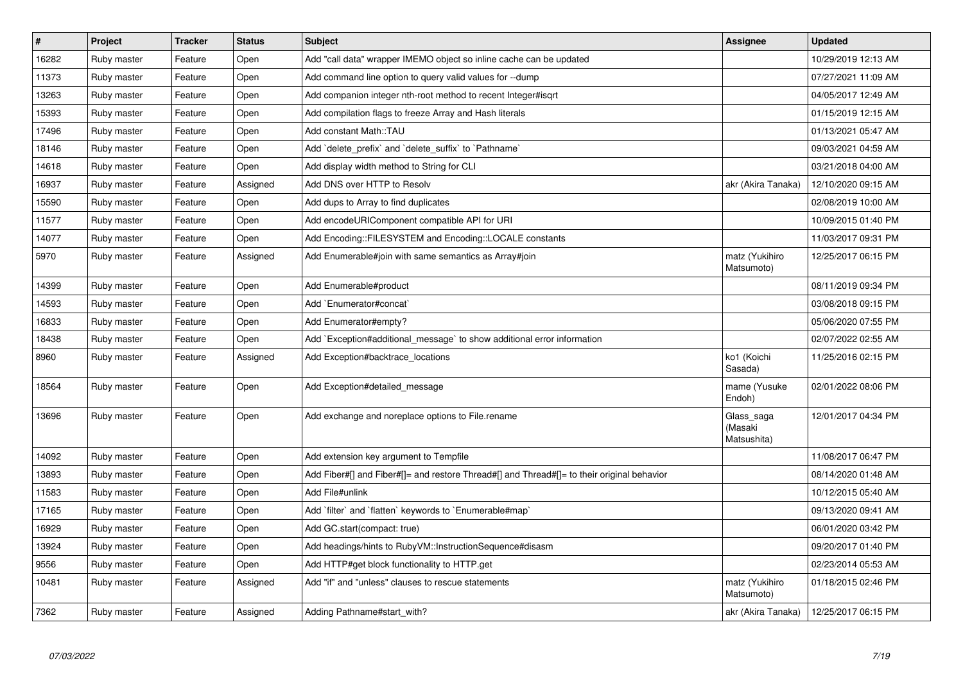| $\vert$ # | <b>Project</b> | <b>Tracker</b> | <b>Status</b> | <b>Subject</b>                                                                             | <b>Assignee</b>                      | <b>Updated</b>      |
|-----------|----------------|----------------|---------------|--------------------------------------------------------------------------------------------|--------------------------------------|---------------------|
| 16282     | Ruby master    | Feature        | Open          | Add "call data" wrapper IMEMO object so inline cache can be updated                        |                                      | 10/29/2019 12:13 AM |
| 11373     | Ruby master    | Feature        | Open          | Add command line option to query valid values for --dump                                   |                                      | 07/27/2021 11:09 AM |
| 13263     | Ruby master    | Feature        | Open          | Add companion integer nth-root method to recent Integer#isgrt                              |                                      | 04/05/2017 12:49 AM |
| 15393     | Ruby master    | Feature        | Open          | Add compilation flags to freeze Array and Hash literals                                    |                                      | 01/15/2019 12:15 AM |
| 17496     | Ruby master    | Feature        | Open          | Add constant Math::TAU                                                                     |                                      | 01/13/2021 05:47 AM |
| 18146     | Ruby master    | Feature        | Open          | Add `delete_prefix` and `delete_suffix` to `Pathname`                                      |                                      | 09/03/2021 04:59 AM |
| 14618     | Ruby master    | Feature        | Open          | Add display width method to String for CLI                                                 |                                      | 03/21/2018 04:00 AM |
| 16937     | Ruby master    | Feature        | Assigned      | Add DNS over HTTP to Resolv                                                                | akr (Akira Tanaka)                   | 12/10/2020 09:15 AM |
| 15590     | Ruby master    | Feature        | Open          | Add dups to Array to find duplicates                                                       |                                      | 02/08/2019 10:00 AM |
| 11577     | Ruby master    | Feature        | Open          | Add encodeURIComponent compatible API for URI                                              |                                      | 10/09/2015 01:40 PM |
| 14077     | Ruby master    | Feature        | Open          | Add Encoding::FILESYSTEM and Encoding::LOCALE constants                                    |                                      | 11/03/2017 09:31 PM |
| 5970      | Ruby master    | Feature        | Assigned      | Add Enumerable#join with same semantics as Array#join                                      | matz (Yukihiro<br>Matsumoto)         | 12/25/2017 06:15 PM |
| 14399     | Ruby master    | Feature        | Open          | Add Enumerable#product                                                                     |                                      | 08/11/2019 09:34 PM |
| 14593     | Ruby master    | Feature        | Open          | Add `Enumerator#concat`                                                                    |                                      | 03/08/2018 09:15 PM |
| 16833     | Ruby master    | Feature        | Open          | Add Enumerator#empty?                                                                      |                                      | 05/06/2020 07:55 PM |
| 18438     | Ruby master    | Feature        | Open          | Add `Exception#additional_message` to show additional error information                    |                                      | 02/07/2022 02:55 AM |
| 8960      | Ruby master    | Feature        | Assigned      | Add Exception#backtrace locations                                                          | ko1 (Koichi<br>Sasada)               | 11/25/2016 02:15 PM |
| 18564     | Ruby master    | Feature        | Open          | Add Exception#detailed_message                                                             | mame (Yusuke<br>Endoh)               | 02/01/2022 08:06 PM |
| 13696     | Ruby master    | Feature        | Open          | Add exchange and noreplace options to File.rename                                          | Glass_saga<br>(Masaki<br>Matsushita) | 12/01/2017 04:34 PM |
| 14092     | Ruby master    | Feature        | Open          | Add extension key argument to Tempfile                                                     |                                      | 11/08/2017 06:47 PM |
| 13893     | Ruby master    | Feature        | Open          | Add Fiber#[] and Fiber#[]= and restore Thread#[] and Thread#[]= to their original behavior |                                      | 08/14/2020 01:48 AM |
| 11583     | Ruby master    | Feature        | Open          | Add File#unlink                                                                            |                                      | 10/12/2015 05:40 AM |
| 17165     | Ruby master    | Feature        | Open          | Add `filter` and `flatten` keywords to `Enumerable#map`                                    |                                      | 09/13/2020 09:41 AM |
| 16929     | Ruby master    | Feature        | Open          | Add GC.start(compact: true)                                                                |                                      | 06/01/2020 03:42 PM |
| 13924     | Ruby master    | Feature        | Open          | Add headings/hints to RubyVM::InstructionSequence#disasm                                   |                                      | 09/20/2017 01:40 PM |
| 9556      | Ruby master    | Feature        | Open          | Add HTTP#get block functionality to HTTP.get                                               |                                      | 02/23/2014 05:53 AM |
| 10481     | Ruby master    | Feature        | Assigned      | Add "if" and "unless" clauses to rescue statements                                         | matz (Yukihiro<br>Matsumoto)         | 01/18/2015 02:46 PM |
| 7362      | Ruby master    | Feature        | Assigned      | Adding Pathname#start with?                                                                | akr (Akira Tanaka)                   | 12/25/2017 06:15 PM |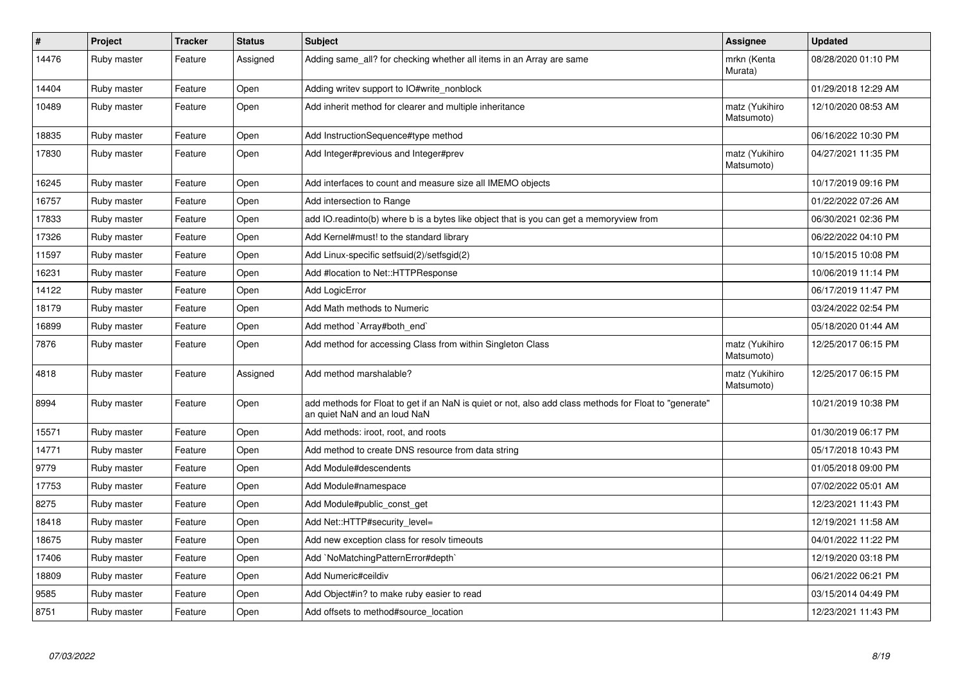| $\pmb{\#}$ | Project     | <b>Tracker</b> | <b>Status</b> | <b>Subject</b>                                                                                                                         | <b>Assignee</b>              | <b>Updated</b>      |
|------------|-------------|----------------|---------------|----------------------------------------------------------------------------------------------------------------------------------------|------------------------------|---------------------|
| 14476      | Ruby master | Feature        | Assigned      | Adding same_all? for checking whether all items in an Array are same                                                                   | mrkn (Kenta<br>Murata)       | 08/28/2020 01:10 PM |
| 14404      | Ruby master | Feature        | Open          | Adding writev support to IO#write_nonblock                                                                                             |                              | 01/29/2018 12:29 AM |
| 10489      | Ruby master | Feature        | Open          | Add inherit method for clearer and multiple inheritance                                                                                | matz (Yukihiro<br>Matsumoto) | 12/10/2020 08:53 AM |
| 18835      | Ruby master | Feature        | Open          | Add InstructionSequence#type method                                                                                                    |                              | 06/16/2022 10:30 PM |
| 17830      | Ruby master | Feature        | Open          | Add Integer#previous and Integer#prev                                                                                                  | matz (Yukihiro<br>Matsumoto) | 04/27/2021 11:35 PM |
| 16245      | Ruby master | Feature        | Open          | Add interfaces to count and measure size all IMEMO objects                                                                             |                              | 10/17/2019 09:16 PM |
| 16757      | Ruby master | Feature        | Open          | Add intersection to Range                                                                                                              |                              | 01/22/2022 07:26 AM |
| 17833      | Ruby master | Feature        | Open          | add IO.readinto(b) where b is a bytes like object that is you can get a memoryview from                                                |                              | 06/30/2021 02:36 PM |
| 17326      | Ruby master | Feature        | Open          | Add Kernel#must! to the standard library                                                                                               |                              | 06/22/2022 04:10 PM |
| 11597      | Ruby master | Feature        | Open          | Add Linux-specific setfsuid(2)/setfsgid(2)                                                                                             |                              | 10/15/2015 10:08 PM |
| 16231      | Ruby master | Feature        | Open          | Add #location to Net::HTTPResponse                                                                                                     |                              | 10/06/2019 11:14 PM |
| 14122      | Ruby master | Feature        | Open          | Add LogicError                                                                                                                         |                              | 06/17/2019 11:47 PM |
| 18179      | Ruby master | Feature        | Open          | Add Math methods to Numeric                                                                                                            |                              | 03/24/2022 02:54 PM |
| 16899      | Ruby master | Feature        | Open          | Add method `Array#both end`                                                                                                            |                              | 05/18/2020 01:44 AM |
| 7876       | Ruby master | Feature        | Open          | Add method for accessing Class from within Singleton Class                                                                             | matz (Yukihiro<br>Matsumoto) | 12/25/2017 06:15 PM |
| 4818       | Ruby master | Feature        | Assigned      | Add method marshalable?                                                                                                                | matz (Yukihiro<br>Matsumoto) | 12/25/2017 06:15 PM |
| 8994       | Ruby master | Feature        | Open          | add methods for Float to get if an NaN is quiet or not, also add class methods for Float to "generate"<br>an quiet NaN and an loud NaN |                              | 10/21/2019 10:38 PM |
| 15571      | Ruby master | Feature        | Open          | Add methods: iroot, root, and roots                                                                                                    |                              | 01/30/2019 06:17 PM |
| 14771      | Ruby master | Feature        | Open          | Add method to create DNS resource from data string                                                                                     |                              | 05/17/2018 10:43 PM |
| 9779       | Ruby master | Feature        | Open          | Add Module#descendents                                                                                                                 |                              | 01/05/2018 09:00 PM |
| 17753      | Ruby master | Feature        | Open          | Add Module#namespace                                                                                                                   |                              | 07/02/2022 05:01 AM |
| 8275       | Ruby master | Feature        | Open          | Add Module#public const get                                                                                                            |                              | 12/23/2021 11:43 PM |
| 18418      | Ruby master | Feature        | Open          | Add Net::HTTP#security_level=                                                                                                          |                              | 12/19/2021 11:58 AM |
| 18675      | Ruby master | Feature        | Open          | Add new exception class for resolv timeouts                                                                                            |                              | 04/01/2022 11:22 PM |
| 17406      | Ruby master | Feature        | Open          | Add `NoMatchingPatternError#depth`                                                                                                     |                              | 12/19/2020 03:18 PM |
| 18809      | Ruby master | Feature        | Open          | Add Numeric#ceildiv                                                                                                                    |                              | 06/21/2022 06:21 PM |
| 9585       | Ruby master | Feature        | Open          | Add Object#in? to make ruby easier to read                                                                                             |                              | 03/15/2014 04:49 PM |
| 8751       | Ruby master | Feature        | Open          | Add offsets to method#source_location                                                                                                  |                              | 12/23/2021 11:43 PM |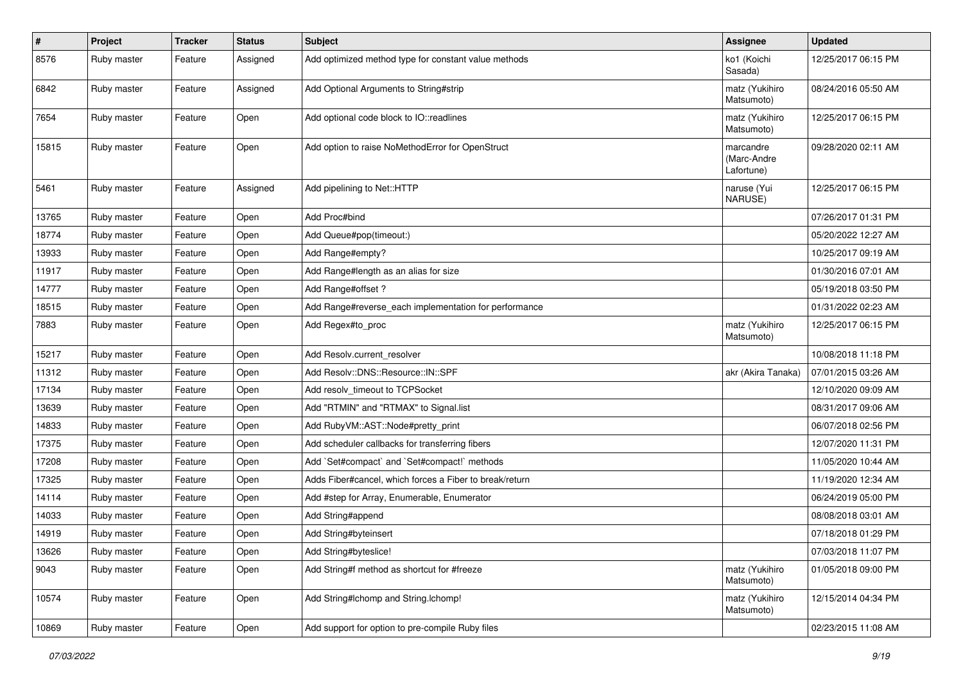| $\vert$ # | Project     | <b>Tracker</b> | <b>Status</b> | <b>Subject</b>                                          | <b>Assignee</b>                        | <b>Updated</b>      |
|-----------|-------------|----------------|---------------|---------------------------------------------------------|----------------------------------------|---------------------|
| 8576      | Ruby master | Feature        | Assigned      | Add optimized method type for constant value methods    | ko1 (Koichi<br>Sasada)                 | 12/25/2017 06:15 PM |
| 6842      | Ruby master | Feature        | Assigned      | Add Optional Arguments to String#strip                  | matz (Yukihiro<br>Matsumoto)           | 08/24/2016 05:50 AM |
| 7654      | Ruby master | Feature        | Open          | Add optional code block to IO::readlines                | matz (Yukihiro<br>Matsumoto)           | 12/25/2017 06:15 PM |
| 15815     | Ruby master | Feature        | Open          | Add option to raise NoMethodError for OpenStruct        | marcandre<br>(Marc-Andre<br>Lafortune) | 09/28/2020 02:11 AM |
| 5461      | Ruby master | Feature        | Assigned      | Add pipelining to Net::HTTP                             | naruse (Yui<br>NARUSE)                 | 12/25/2017 06:15 PM |
| 13765     | Ruby master | Feature        | Open          | Add Proc#bind                                           |                                        | 07/26/2017 01:31 PM |
| 18774     | Ruby master | Feature        | Open          | Add Queue#pop(timeout:)                                 |                                        | 05/20/2022 12:27 AM |
| 13933     | Ruby master | Feature        | Open          | Add Range#empty?                                        |                                        | 10/25/2017 09:19 AM |
| 11917     | Ruby master | Feature        | Open          | Add Range#length as an alias for size                   |                                        | 01/30/2016 07:01 AM |
| 14777     | Ruby master | Feature        | Open          | Add Range#offset?                                       |                                        | 05/19/2018 03:50 PM |
| 18515     | Ruby master | Feature        | Open          | Add Range#reverse_each implementation for performance   |                                        | 01/31/2022 02:23 AM |
| 7883      | Ruby master | Feature        | Open          | Add Regex#to_proc                                       | matz (Yukihiro<br>Matsumoto)           | 12/25/2017 06:15 PM |
| 15217     | Ruby master | Feature        | Open          | Add Resolv.current_resolver                             |                                        | 10/08/2018 11:18 PM |
| 11312     | Ruby master | Feature        | Open          | Add Resolv::DNS::Resource::IN::SPF                      | akr (Akira Tanaka)                     | 07/01/2015 03:26 AM |
| 17134     | Ruby master | Feature        | Open          | Add resolv timeout to TCPSocket                         |                                        | 12/10/2020 09:09 AM |
| 13639     | Ruby master | Feature        | Open          | Add "RTMIN" and "RTMAX" to Signal.list                  |                                        | 08/31/2017 09:06 AM |
| 14833     | Ruby master | Feature        | Open          | Add RubyVM::AST::Node#pretty_print                      |                                        | 06/07/2018 02:56 PM |
| 17375     | Ruby master | Feature        | Open          | Add scheduler callbacks for transferring fibers         |                                        | 12/07/2020 11:31 PM |
| 17208     | Ruby master | Feature        | Open          | Add `Set#compact` and `Set#compact!` methods            |                                        | 11/05/2020 10:44 AM |
| 17325     | Ruby master | Feature        | Open          | Adds Fiber#cancel, which forces a Fiber to break/return |                                        | 11/19/2020 12:34 AM |
| 14114     | Ruby master | Feature        | Open          | Add #step for Array, Enumerable, Enumerator             |                                        | 06/24/2019 05:00 PM |
| 14033     | Ruby master | Feature        | Open          | Add String#append                                       |                                        | 08/08/2018 03:01 AM |
| 14919     | Ruby master | Feature        | Open          | Add String#byteinsert                                   |                                        | 07/18/2018 01:29 PM |
| 13626     | Ruby master | Feature        | Open          | Add String#byteslice!                                   |                                        | 07/03/2018 11:07 PM |
| 9043      | Ruby master | Feature        | Open          | Add String#f method as shortcut for #freeze             | matz (Yukihiro<br>Matsumoto)           | 01/05/2018 09:00 PM |
| 10574     | Ruby master | Feature        | Open          | Add String#Ichomp and String.Ichomp!                    | matz (Yukihiro<br>Matsumoto)           | 12/15/2014 04:34 PM |
| 10869     | Ruby master | Feature        | Open          | Add support for option to pre-compile Ruby files        |                                        | 02/23/2015 11:08 AM |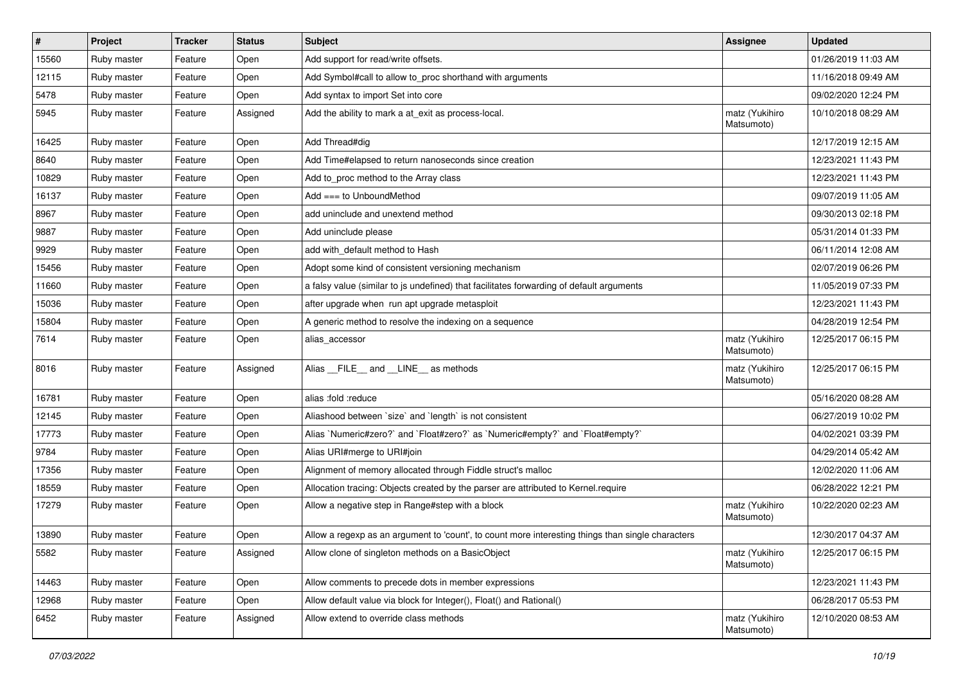| #     | Project     | <b>Tracker</b> | <b>Status</b> | <b>Subject</b>                                                                                    | <b>Assignee</b>              | <b>Updated</b>      |
|-------|-------------|----------------|---------------|---------------------------------------------------------------------------------------------------|------------------------------|---------------------|
| 15560 | Ruby master | Feature        | Open          | Add support for read/write offsets.                                                               |                              | 01/26/2019 11:03 AM |
| 12115 | Ruby master | Feature        | Open          | Add Symbol#call to allow to_proc shorthand with arguments                                         |                              | 11/16/2018 09:49 AM |
| 5478  | Ruby master | Feature        | Open          | Add syntax to import Set into core                                                                |                              | 09/02/2020 12:24 PM |
| 5945  | Ruby master | Feature        | Assigned      | Add the ability to mark a at_exit as process-local.                                               | matz (Yukihiro<br>Matsumoto) | 10/10/2018 08:29 AM |
| 16425 | Ruby master | Feature        | Open          | Add Thread#dig                                                                                    |                              | 12/17/2019 12:15 AM |
| 8640  | Ruby master | Feature        | Open          | Add Time#elapsed to return nanoseconds since creation                                             |                              | 12/23/2021 11:43 PM |
| 10829 | Ruby master | Feature        | Open          | Add to_proc method to the Array class                                                             |                              | 12/23/2021 11:43 PM |
| 16137 | Ruby master | Feature        | Open          | Add $==$ to UnboundMethod                                                                         |                              | 09/07/2019 11:05 AM |
| 8967  | Ruby master | Feature        | Open          | add uninclude and unextend method                                                                 |                              | 09/30/2013 02:18 PM |
| 9887  | Ruby master | Feature        | Open          | Add uninclude please                                                                              |                              | 05/31/2014 01:33 PM |
| 9929  | Ruby master | Feature        | Open          | add with_default method to Hash                                                                   |                              | 06/11/2014 12:08 AM |
| 15456 | Ruby master | Feature        | Open          | Adopt some kind of consistent versioning mechanism                                                |                              | 02/07/2019 06:26 PM |
| 11660 | Ruby master | Feature        | Open          | a falsy value (similar to js undefined) that facilitates forwarding of default arguments          |                              | 11/05/2019 07:33 PM |
| 15036 | Ruby master | Feature        | Open          | after upgrade when run apt upgrade metasploit                                                     |                              | 12/23/2021 11:43 PM |
| 15804 | Ruby master | Feature        | Open          | A generic method to resolve the indexing on a sequence                                            |                              | 04/28/2019 12:54 PM |
| 7614  | Ruby master | Feature        | Open          | alias accessor                                                                                    | matz (Yukihiro<br>Matsumoto) | 12/25/2017 06:15 PM |
| 8016  | Ruby master | Feature        | Assigned      | Alias __FILE__ and __LINE__ as methods                                                            | matz (Yukihiro<br>Matsumoto) | 12/25/2017 06:15 PM |
| 16781 | Ruby master | Feature        | Open          | alias :fold :reduce                                                                               |                              | 05/16/2020 08:28 AM |
| 12145 | Ruby master | Feature        | Open          | Aliashood between 'size' and 'length' is not consistent                                           |                              | 06/27/2019 10:02 PM |
| 17773 | Ruby master | Feature        | Open          | Alias `Numeric#zero?` and `Float#zero?` as `Numeric#empty?` and `Float#empty?`                    |                              | 04/02/2021 03:39 PM |
| 9784  | Ruby master | Feature        | Open          | Alias URI#merge to URI#join                                                                       |                              | 04/29/2014 05:42 AM |
| 17356 | Ruby master | Feature        | Open          | Alignment of memory allocated through Fiddle struct's malloc                                      |                              | 12/02/2020 11:06 AM |
| 18559 | Ruby master | Feature        | Open          | Allocation tracing: Objects created by the parser are attributed to Kernel.require                |                              | 06/28/2022 12:21 PM |
| 17279 | Ruby master | Feature        | Open          | Allow a negative step in Range#step with a block                                                  | matz (Yukihiro<br>Matsumoto) | 10/22/2020 02:23 AM |
| 13890 | Ruby master | Feature        | Open          | Allow a regexp as an argument to 'count', to count more interesting things than single characters |                              | 12/30/2017 04:37 AM |
| 5582  | Ruby master | Feature        | Assigned      | Allow clone of singleton methods on a BasicObject                                                 | matz (Yukihiro<br>Matsumoto) | 12/25/2017 06:15 PM |
| 14463 | Ruby master | Feature        | Open          | Allow comments to precede dots in member expressions                                              |                              | 12/23/2021 11:43 PM |
| 12968 | Ruby master | Feature        | Open          | Allow default value via block for Integer(), Float() and Rational()                               |                              | 06/28/2017 05:53 PM |
| 6452  | Ruby master | Feature        | Assigned      | Allow extend to override class methods                                                            | matz (Yukihiro<br>Matsumoto) | 12/10/2020 08:53 AM |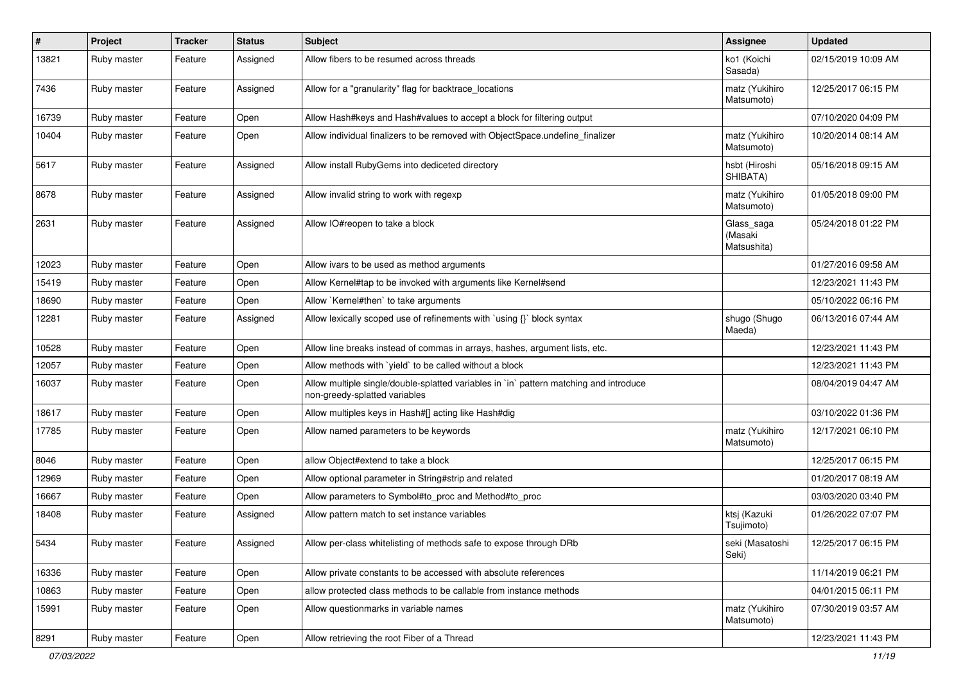| #     | Project     | <b>Tracker</b> | <b>Status</b> | <b>Subject</b>                                                                                                          | <b>Assignee</b>                      | <b>Updated</b>      |
|-------|-------------|----------------|---------------|-------------------------------------------------------------------------------------------------------------------------|--------------------------------------|---------------------|
| 13821 | Ruby master | Feature        | Assigned      | Allow fibers to be resumed across threads                                                                               | ko1 (Koichi<br>Sasada)               | 02/15/2019 10:09 AM |
| 7436  | Ruby master | Feature        | Assigned      | Allow for a "granularity" flag for backtrace locations                                                                  | matz (Yukihiro<br>Matsumoto)         | 12/25/2017 06:15 PM |
| 16739 | Ruby master | Feature        | Open          | Allow Hash#keys and Hash#values to accept a block for filtering output                                                  |                                      | 07/10/2020 04:09 PM |
| 10404 | Ruby master | Feature        | Open          | Allow individual finalizers to be removed with ObjectSpace.undefine_finalizer                                           | matz (Yukihiro<br>Matsumoto)         | 10/20/2014 08:14 AM |
| 5617  | Ruby master | Feature        | Assigned      | Allow install RubyGems into dediceted directory                                                                         | hsbt (Hiroshi<br>SHIBATA)            | 05/16/2018 09:15 AM |
| 8678  | Ruby master | Feature        | Assigned      | Allow invalid string to work with regexp                                                                                | matz (Yukihiro<br>Matsumoto)         | 01/05/2018 09:00 PM |
| 2631  | Ruby master | Feature        | Assigned      | Allow IO#reopen to take a block                                                                                         | Glass_saga<br>(Masaki<br>Matsushita) | 05/24/2018 01:22 PM |
| 12023 | Ruby master | Feature        | Open          | Allow ivars to be used as method arguments                                                                              |                                      | 01/27/2016 09:58 AM |
| 15419 | Ruby master | Feature        | Open          | Allow Kernel#tap to be invoked with arguments like Kernel#send                                                          |                                      | 12/23/2021 11:43 PM |
| 18690 | Ruby master | Feature        | Open          | Allow `Kernel#then` to take arguments                                                                                   |                                      | 05/10/2022 06:16 PM |
| 12281 | Ruby master | Feature        | Assigned      | Allow lexically scoped use of refinements with `using {}` block syntax                                                  | shugo (Shugo<br>Maeda)               | 06/13/2016 07:44 AM |
| 10528 | Ruby master | Feature        | Open          | Allow line breaks instead of commas in arrays, hashes, argument lists, etc.                                             |                                      | 12/23/2021 11:43 PM |
| 12057 | Ruby master | Feature        | Open          | Allow methods with 'yield' to be called without a block                                                                 |                                      | 12/23/2021 11:43 PM |
| 16037 | Ruby master | Feature        | Open          | Allow multiple single/double-splatted variables in `in` pattern matching and introduce<br>non-greedy-splatted variables |                                      | 08/04/2019 04:47 AM |
| 18617 | Ruby master | Feature        | Open          | Allow multiples keys in Hash#[] acting like Hash#dig                                                                    |                                      | 03/10/2022 01:36 PM |
| 17785 | Ruby master | Feature        | Open          | Allow named parameters to be keywords                                                                                   | matz (Yukihiro<br>Matsumoto)         | 12/17/2021 06:10 PM |
| 8046  | Ruby master | Feature        | Open          | allow Object#extend to take a block                                                                                     |                                      | 12/25/2017 06:15 PM |
| 12969 | Ruby master | Feature        | Open          | Allow optional parameter in String#strip and related                                                                    |                                      | 01/20/2017 08:19 AM |
| 16667 | Ruby master | Feature        | Open          | Allow parameters to Symbol#to_proc and Method#to_proc                                                                   |                                      | 03/03/2020 03:40 PM |
| 18408 | Ruby master | Feature        | Assigned      | Allow pattern match to set instance variables                                                                           | ktsj (Kazuki<br>Tsujimoto)           | 01/26/2022 07:07 PM |
| 5434  | Ruby master | Feature        | Assigned      | Allow per-class whitelisting of methods safe to expose through DRb                                                      | seki (Masatoshi<br>Seki)             | 12/25/2017 06:15 PM |
| 16336 | Ruby master | Feature        | Open          | Allow private constants to be accessed with absolute references                                                         |                                      | 11/14/2019 06:21 PM |
| 10863 | Ruby master | Feature        | Open          | allow protected class methods to be callable from instance methods                                                      |                                      | 04/01/2015 06:11 PM |
| 15991 | Ruby master | Feature        | Open          | Allow questionmarks in variable names                                                                                   | matz (Yukihiro<br>Matsumoto)         | 07/30/2019 03:57 AM |
| 8291  | Ruby master | Feature        | Open          | Allow retrieving the root Fiber of a Thread                                                                             |                                      | 12/23/2021 11:43 PM |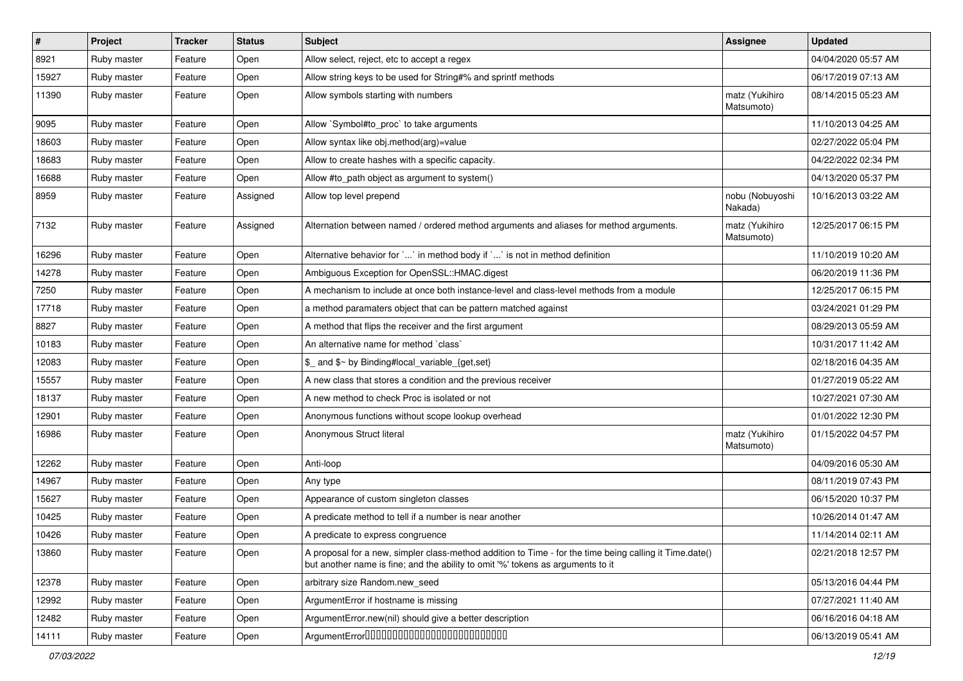| $\sharp$ | Project     | <b>Tracker</b> | <b>Status</b> | <b>Subject</b>                                                                                                                                                                             | <b>Assignee</b>              | <b>Updated</b>      |
|----------|-------------|----------------|---------------|--------------------------------------------------------------------------------------------------------------------------------------------------------------------------------------------|------------------------------|---------------------|
| 8921     | Ruby master | Feature        | Open          | Allow select, reject, etc to accept a regex                                                                                                                                                |                              | 04/04/2020 05:57 AM |
| 15927    | Ruby master | Feature        | Open          | Allow string keys to be used for String#% and sprintf methods                                                                                                                              |                              | 06/17/2019 07:13 AM |
| 11390    | Ruby master | Feature        | Open          | Allow symbols starting with numbers                                                                                                                                                        | matz (Yukihiro<br>Matsumoto) | 08/14/2015 05:23 AM |
| 9095     | Ruby master | Feature        | Open          | Allow `Symbol#to_proc` to take arguments                                                                                                                                                   |                              | 11/10/2013 04:25 AM |
| 18603    | Ruby master | Feature        | Open          | Allow syntax like obj.method(arg)=value                                                                                                                                                    |                              | 02/27/2022 05:04 PM |
| 18683    | Ruby master | Feature        | Open          | Allow to create hashes with a specific capacity.                                                                                                                                           |                              | 04/22/2022 02:34 PM |
| 16688    | Ruby master | Feature        | Open          | Allow #to_path object as argument to system()                                                                                                                                              |                              | 04/13/2020 05:37 PM |
| 8959     | Ruby master | Feature        | Assigned      | Allow top level prepend                                                                                                                                                                    | nobu (Nobuyoshi<br>Nakada)   | 10/16/2013 03:22 AM |
| 7132     | Ruby master | Feature        | Assigned      | Alternation between named / ordered method arguments and aliases for method arguments.                                                                                                     | matz (Yukihiro<br>Matsumoto) | 12/25/2017 06:15 PM |
| 16296    | Ruby master | Feature        | Open          | Alternative behavior for ` ` in method body if ` ` is not in method definition                                                                                                             |                              | 11/10/2019 10:20 AM |
| 14278    | Ruby master | Feature        | Open          | Ambiguous Exception for OpenSSL::HMAC.digest                                                                                                                                               |                              | 06/20/2019 11:36 PM |
| 7250     | Ruby master | Feature        | Open          | A mechanism to include at once both instance-level and class-level methods from a module                                                                                                   |                              | 12/25/2017 06:15 PM |
| 17718    | Ruby master | Feature        | Open          | a method paramaters object that can be pattern matched against                                                                                                                             |                              | 03/24/2021 01:29 PM |
| 8827     | Ruby master | Feature        | Open          | A method that flips the receiver and the first argument                                                                                                                                    |                              | 08/29/2013 05:59 AM |
| 10183    | Ruby master | Feature        | Open          | An alternative name for method `class`                                                                                                                                                     |                              | 10/31/2017 11:42 AM |
| 12083    | Ruby master | Feature        | Open          | \$ and \$~ by Binding#local variable {get,set}                                                                                                                                             |                              | 02/18/2016 04:35 AM |
| 15557    | Ruby master | Feature        | Open          | A new class that stores a condition and the previous receiver                                                                                                                              |                              | 01/27/2019 05:22 AM |
| 18137    | Ruby master | Feature        | Open          | A new method to check Proc is isolated or not                                                                                                                                              |                              | 10/27/2021 07:30 AM |
| 12901    | Ruby master | Feature        | Open          | Anonymous functions without scope lookup overhead                                                                                                                                          |                              | 01/01/2022 12:30 PM |
| 16986    | Ruby master | Feature        | Open          | Anonymous Struct literal                                                                                                                                                                   | matz (Yukihiro<br>Matsumoto) | 01/15/2022 04:57 PM |
| 12262    | Ruby master | Feature        | Open          | Anti-loop                                                                                                                                                                                  |                              | 04/09/2016 05:30 AM |
| 14967    | Ruby master | Feature        | Open          | Any type                                                                                                                                                                                   |                              | 08/11/2019 07:43 PM |
| 15627    | Ruby master | Feature        | Open          | Appearance of custom singleton classes                                                                                                                                                     |                              | 06/15/2020 10:37 PM |
| 10425    | Ruby master | Feature        | Open          | A predicate method to tell if a number is near another                                                                                                                                     |                              | 10/26/2014 01:47 AM |
| 10426    | Ruby master | Feature        | Open          | A predicate to express congruence                                                                                                                                                          |                              | 11/14/2014 02:11 AM |
| 13860    | Ruby master | Feature        | Open          | A proposal for a new, simpler class-method addition to Time - for the time being calling it Time.date()<br>but another name is fine; and the ability to omit '%' tokens as arguments to it |                              | 02/21/2018 12:57 PM |
| 12378    | Ruby master | Feature        | Open          | arbitrary size Random.new_seed                                                                                                                                                             |                              | 05/13/2016 04:44 PM |
| 12992    | Ruby master | Feature        | Open          | ArgumentError if hostname is missing                                                                                                                                                       |                              | 07/27/2021 11:40 AM |
| 12482    | Ruby master | Feature        | Open          | ArgumentError.new(nil) should give a better description                                                                                                                                    |                              | 06/16/2016 04:18 AM |
| 14111    | Ruby master | Feature        | Open          | ArgumentErrorD0000000000000000000000000                                                                                                                                                    |                              | 06/13/2019 05:41 AM |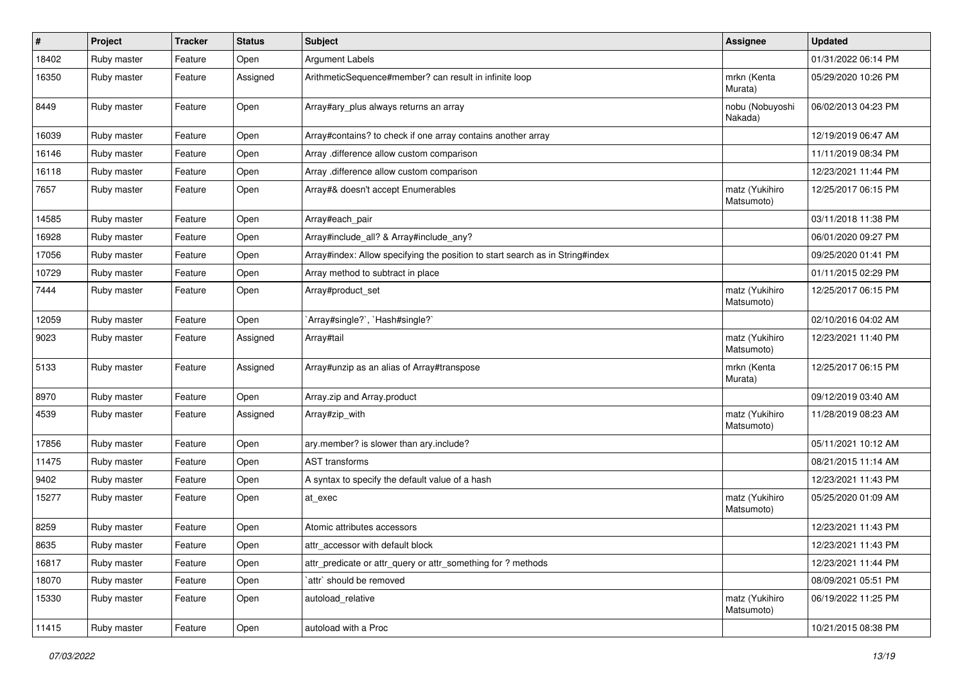| $\vert$ # | Project     | <b>Tracker</b> | <b>Status</b> | <b>Subject</b>                                                                | <b>Assignee</b>              | <b>Updated</b>      |
|-----------|-------------|----------------|---------------|-------------------------------------------------------------------------------|------------------------------|---------------------|
| 18402     | Ruby master | Feature        | Open          | <b>Argument Labels</b>                                                        |                              | 01/31/2022 06:14 PM |
| 16350     | Ruby master | Feature        | Assigned      | ArithmeticSequence#member? can result in infinite loop                        | mrkn (Kenta<br>Murata)       | 05/29/2020 10:26 PM |
| 8449      | Ruby master | Feature        | Open          | Array#ary_plus always returns an array                                        | nobu (Nobuyoshi<br>Nakada)   | 06/02/2013 04:23 PM |
| 16039     | Ruby master | Feature        | Open          | Array#contains? to check if one array contains another array                  |                              | 12/19/2019 06:47 AM |
| 16146     | Ruby master | Feature        | Open          | Array .difference allow custom comparison                                     |                              | 11/11/2019 08:34 PM |
| 16118     | Ruby master | Feature        | Open          | Array .difference allow custom comparison                                     |                              | 12/23/2021 11:44 PM |
| 7657      | Ruby master | Feature        | Open          | Array#& doesn't accept Enumerables                                            | matz (Yukihiro<br>Matsumoto) | 12/25/2017 06:15 PM |
| 14585     | Ruby master | Feature        | Open          | Array#each_pair                                                               |                              | 03/11/2018 11:38 PM |
| 16928     | Ruby master | Feature        | Open          | Array#include_all? & Array#include_any?                                       |                              | 06/01/2020 09:27 PM |
| 17056     | Ruby master | Feature        | Open          | Array#index: Allow specifying the position to start search as in String#index |                              | 09/25/2020 01:41 PM |
| 10729     | Ruby master | Feature        | Open          | Array method to subtract in place                                             |                              | 01/11/2015 02:29 PM |
| 7444      | Ruby master | Feature        | Open          | Array#product_set                                                             | matz (Yukihiro<br>Matsumoto) | 12/25/2017 06:15 PM |
| 12059     | Ruby master | Feature        | Open          | `Array#single?`, `Hash#single?`                                               |                              | 02/10/2016 04:02 AM |
| 9023      | Ruby master | Feature        | Assigned      | Array#tail                                                                    | matz (Yukihiro<br>Matsumoto) | 12/23/2021 11:40 PM |
| 5133      | Ruby master | Feature        | Assigned      | Array#unzip as an alias of Array#transpose                                    | mrkn (Kenta<br>Murata)       | 12/25/2017 06:15 PM |
| 8970      | Ruby master | Feature        | Open          | Array.zip and Array.product                                                   |                              | 09/12/2019 03:40 AM |
| 4539      | Ruby master | Feature        | Assigned      | Array#zip_with                                                                | matz (Yukihiro<br>Matsumoto) | 11/28/2019 08:23 AM |
| 17856     | Ruby master | Feature        | Open          | ary.member? is slower than ary.include?                                       |                              | 05/11/2021 10:12 AM |
| 11475     | Ruby master | Feature        | Open          | <b>AST</b> transforms                                                         |                              | 08/21/2015 11:14 AM |
| 9402      | Ruby master | Feature        | Open          | A syntax to specify the default value of a hash                               |                              | 12/23/2021 11:43 PM |
| 15277     | Ruby master | Feature        | Open          | at exec                                                                       | matz (Yukihiro<br>Matsumoto) | 05/25/2020 01:09 AM |
| 8259      | Ruby master | Feature        | Open          | Atomic attributes accessors                                                   |                              | 12/23/2021 11:43 PM |
| 8635      | Ruby master | Feature        | Open          | attr_accessor with default block                                              |                              | 12/23/2021 11:43 PM |
| 16817     | Ruby master | Feature        | Open          | attr predicate or attr query or attr something for ? methods                  |                              | 12/23/2021 11:44 PM |
| 18070     | Ruby master | Feature        | Open          | `attr` should be removed                                                      |                              | 08/09/2021 05:51 PM |
| 15330     | Ruby master | Feature        | Open          | autoload relative                                                             | matz (Yukihiro<br>Matsumoto) | 06/19/2022 11:25 PM |
| 11415     | Ruby master | Feature        | Open          | autoload with a Proc                                                          |                              | 10/21/2015 08:38 PM |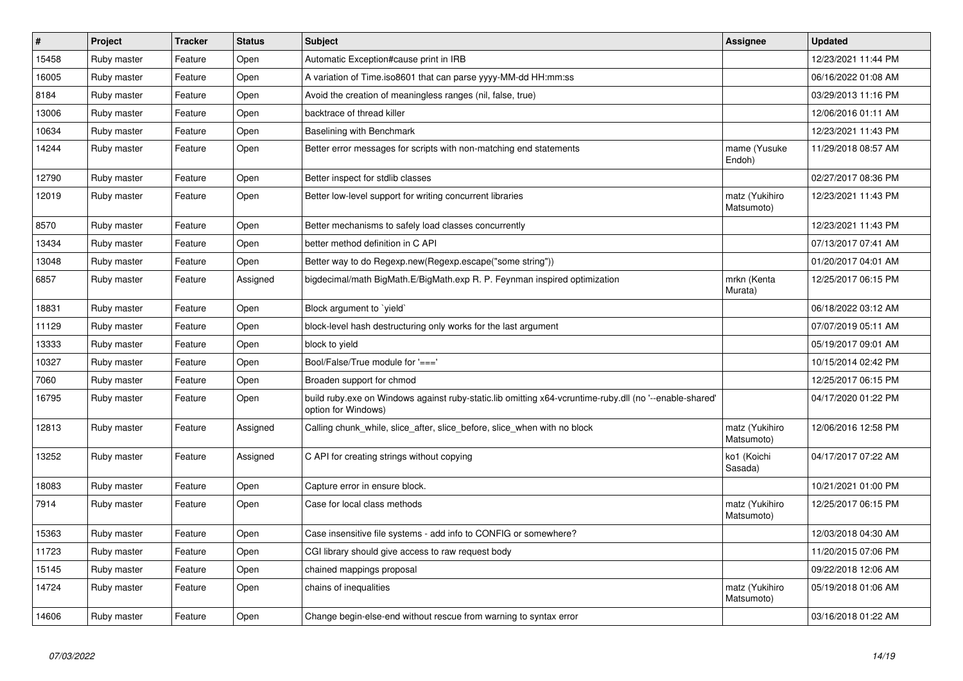| $\vert$ # | <b>Project</b> | <b>Tracker</b> | <b>Status</b> | <b>Subject</b>                                                                                                                 | Assignee                     | <b>Updated</b>      |
|-----------|----------------|----------------|---------------|--------------------------------------------------------------------------------------------------------------------------------|------------------------------|---------------------|
| 15458     | Ruby master    | Feature        | Open          | Automatic Exception#cause print in IRB                                                                                         |                              | 12/23/2021 11:44 PM |
| 16005     | Ruby master    | Feature        | Open          | A variation of Time.iso8601 that can parse yyyy-MM-dd HH:mm:ss                                                                 |                              | 06/16/2022 01:08 AM |
| 8184      | Ruby master    | Feature        | Open          | Avoid the creation of meaningless ranges (nil, false, true)                                                                    |                              | 03/29/2013 11:16 PM |
| 13006     | Ruby master    | Feature        | Open          | backtrace of thread killer                                                                                                     |                              | 12/06/2016 01:11 AM |
| 10634     | Ruby master    | Feature        | Open          | Baselining with Benchmark                                                                                                      |                              | 12/23/2021 11:43 PM |
| 14244     | Ruby master    | Feature        | Open          | Better error messages for scripts with non-matching end statements                                                             | mame (Yusuke<br>Endoh)       | 11/29/2018 08:57 AM |
| 12790     | Ruby master    | Feature        | Open          | Better inspect for stdlib classes                                                                                              |                              | 02/27/2017 08:36 PM |
| 12019     | Ruby master    | Feature        | Open          | Better low-level support for writing concurrent libraries                                                                      | matz (Yukihiro<br>Matsumoto) | 12/23/2021 11:43 PM |
| 8570      | Ruby master    | Feature        | Open          | Better mechanisms to safely load classes concurrently                                                                          |                              | 12/23/2021 11:43 PM |
| 13434     | Ruby master    | Feature        | Open          | better method definition in C API                                                                                              |                              | 07/13/2017 07:41 AM |
| 13048     | Ruby master    | Feature        | Open          | Better way to do Regexp.new(Regexp.escape("some string"))                                                                      |                              | 01/20/2017 04:01 AM |
| 6857      | Ruby master    | Feature        | Assigned      | bigdecimal/math BigMath.E/BigMath.exp R. P. Feynman inspired optimization                                                      | mrkn (Kenta<br>Murata)       | 12/25/2017 06:15 PM |
| 18831     | Ruby master    | Feature        | Open          | Block argument to `yield`                                                                                                      |                              | 06/18/2022 03:12 AM |
| 11129     | Ruby master    | Feature        | Open          | block-level hash destructuring only works for the last argument                                                                |                              | 07/07/2019 05:11 AM |
| 13333     | Ruby master    | Feature        | Open          | block to yield                                                                                                                 |                              | 05/19/2017 09:01 AM |
| 10327     | Ruby master    | Feature        | Open          | Bool/False/True module for '==='                                                                                               |                              | 10/15/2014 02:42 PM |
| 7060      | Ruby master    | Feature        | Open          | Broaden support for chmod                                                                                                      |                              | 12/25/2017 06:15 PM |
| 16795     | Ruby master    | Feature        | Open          | build ruby exe on Windows against ruby-static.lib omitting x64-vcruntime-ruby dll (no '--enable-shared'<br>option for Windows) |                              | 04/17/2020 01:22 PM |
| 12813     | Ruby master    | Feature        | Assigned      | Calling chunk_while, slice_after, slice_before, slice_when with no block                                                       | matz (Yukihiro<br>Matsumoto) | 12/06/2016 12:58 PM |
| 13252     | Ruby master    | Feature        | Assigned      | C API for creating strings without copying                                                                                     | ko1 (Koichi<br>Sasada)       | 04/17/2017 07:22 AM |
| 18083     | Ruby master    | Feature        | Open          | Capture error in ensure block.                                                                                                 |                              | 10/21/2021 01:00 PM |
| 7914      | Ruby master    | Feature        | Open          | Case for local class methods                                                                                                   | matz (Yukihiro<br>Matsumoto) | 12/25/2017 06:15 PM |
| 15363     | Ruby master    | Feature        | Open          | Case insensitive file systems - add info to CONFIG or somewhere?                                                               |                              | 12/03/2018 04:30 AM |
| 11723     | Ruby master    | Feature        | Open          | CGI library should give access to raw request body                                                                             |                              | 11/20/2015 07:06 PM |
| 15145     | Ruby master    | Feature        | Open          | chained mappings proposal                                                                                                      |                              | 09/22/2018 12:06 AM |
| 14724     | Ruby master    | Feature        | Open          | chains of inequalities                                                                                                         | matz (Yukihiro<br>Matsumoto) | 05/19/2018 01:06 AM |
| 14606     | Ruby master    | Feature        | Open          | Change begin-else-end without rescue from warning to syntax error                                                              |                              | 03/16/2018 01:22 AM |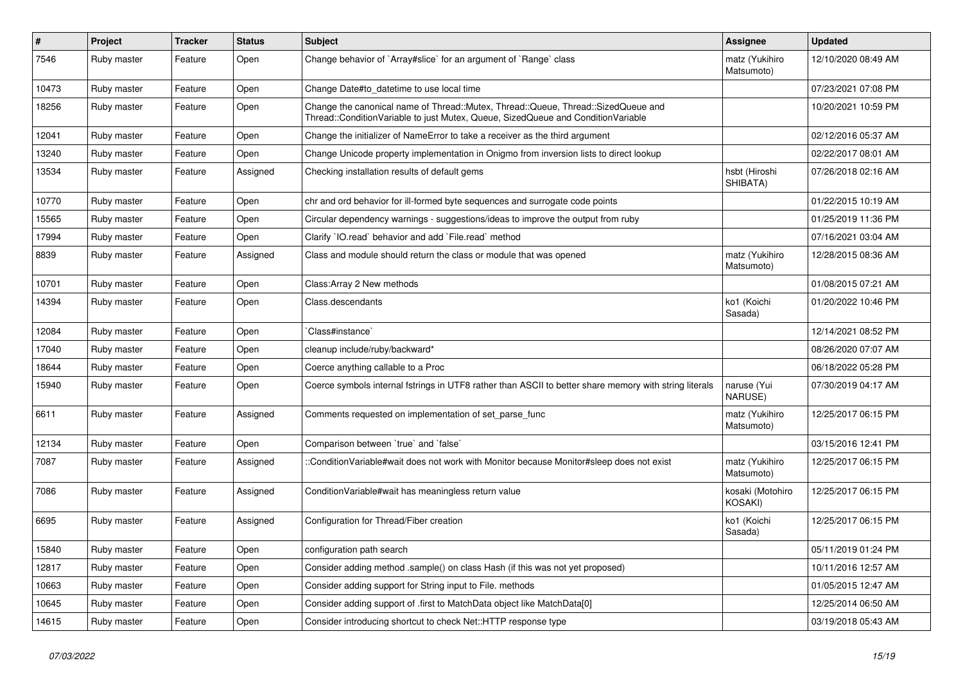| $\#$  | Project     | <b>Tracker</b> | <b>Status</b> | Subject                                                                                                                                                               | Assignee                     | <b>Updated</b>      |
|-------|-------------|----------------|---------------|-----------------------------------------------------------------------------------------------------------------------------------------------------------------------|------------------------------|---------------------|
| 7546  | Ruby master | Feature        | Open          | Change behavior of `Array#slice` for an argument of `Range` class                                                                                                     | matz (Yukihiro<br>Matsumoto) | 12/10/2020 08:49 AM |
| 10473 | Ruby master | Feature        | Open          | Change Date#to_datetime to use local time                                                                                                                             |                              | 07/23/2021 07:08 PM |
| 18256 | Ruby master | Feature        | Open          | Change the canonical name of Thread::Mutex, Thread::Queue, Thread::SizedQueue and<br>Thread::ConditionVariable to just Mutex, Queue, SizedQueue and ConditionVariable |                              | 10/20/2021 10:59 PM |
| 12041 | Ruby master | Feature        | Open          | Change the initializer of NameError to take a receiver as the third argument                                                                                          |                              | 02/12/2016 05:37 AM |
| 13240 | Ruby master | Feature        | Open          | Change Unicode property implementation in Onigmo from inversion lists to direct lookup                                                                                |                              | 02/22/2017 08:01 AM |
| 13534 | Ruby master | Feature        | Assigned      | Checking installation results of default gems                                                                                                                         | hsbt (Hiroshi<br>SHIBATA)    | 07/26/2018 02:16 AM |
| 10770 | Ruby master | Feature        | Open          | chr and ord behavior for ill-formed byte sequences and surrogate code points                                                                                          |                              | 01/22/2015 10:19 AM |
| 15565 | Ruby master | Feature        | Open          | Circular dependency warnings - suggestions/ideas to improve the output from ruby                                                                                      |                              | 01/25/2019 11:36 PM |
| 17994 | Ruby master | Feature        | Open          | Clarify 'IO.read' behavior and add 'File.read' method                                                                                                                 |                              | 07/16/2021 03:04 AM |
| 8839  | Ruby master | Feature        | Assigned      | Class and module should return the class or module that was opened                                                                                                    | matz (Yukihiro<br>Matsumoto) | 12/28/2015 08:36 AM |
| 10701 | Ruby master | Feature        | Open          | Class: Array 2 New methods                                                                                                                                            |                              | 01/08/2015 07:21 AM |
| 14394 | Ruby master | Feature        | Open          | Class.descendants                                                                                                                                                     | ko1 (Koichi<br>Sasada)       | 01/20/2022 10:46 PM |
| 12084 | Ruby master | Feature        | Open          | Class#instance`                                                                                                                                                       |                              | 12/14/2021 08:52 PM |
| 17040 | Ruby master | Feature        | Open          | cleanup include/ruby/backward*                                                                                                                                        |                              | 08/26/2020 07:07 AM |
| 18644 | Ruby master | Feature        | Open          | Coerce anything callable to a Proc                                                                                                                                    |                              | 06/18/2022 05:28 PM |
| 15940 | Ruby master | Feature        | Open          | Coerce symbols internal fstrings in UTF8 rather than ASCII to better share memory with string literals                                                                | naruse (Yui<br>NARUSE)       | 07/30/2019 04:17 AM |
| 6611  | Ruby master | Feature        | Assigned      | Comments requested on implementation of set_parse_func                                                                                                                | matz (Yukihiro<br>Matsumoto) | 12/25/2017 06:15 PM |
| 12134 | Ruby master | Feature        | Open          | Comparison between 'true' and 'false'                                                                                                                                 |                              | 03/15/2016 12:41 PM |
| 7087  | Ruby master | Feature        | Assigned      | ::ConditionVariable#wait does not work with Monitor because Monitor#sleep does not exist                                                                              | matz (Yukihiro<br>Matsumoto) | 12/25/2017 06:15 PM |
| 7086  | Ruby master | Feature        | Assigned      | ConditionVariable#wait has meaningless return value                                                                                                                   | kosaki (Motohiro<br>KOSAKI)  | 12/25/2017 06:15 PM |
| 6695  | Ruby master | Feature        | Assigned      | Configuration for Thread/Fiber creation                                                                                                                               | ko1 (Koichi<br>Sasada)       | 12/25/2017 06:15 PM |
| 15840 | Ruby master | Feature        | Open          | configuration path search                                                                                                                                             |                              | 05/11/2019 01:24 PM |
| 12817 | Ruby master | Feature        | Open          | Consider adding method .sample() on class Hash (if this was not yet proposed)                                                                                         |                              | 10/11/2016 12:57 AM |
| 10663 | Ruby master | Feature        | Open          | Consider adding support for String input to File. methods                                                                                                             |                              | 01/05/2015 12:47 AM |
| 10645 | Ruby master | Feature        | Open          | Consider adding support of .first to MatchData object like MatchData[0]                                                                                               |                              | 12/25/2014 06:50 AM |
| 14615 | Ruby master | Feature        | Open          | Consider introducing shortcut to check Net::HTTP response type                                                                                                        |                              | 03/19/2018 05:43 AM |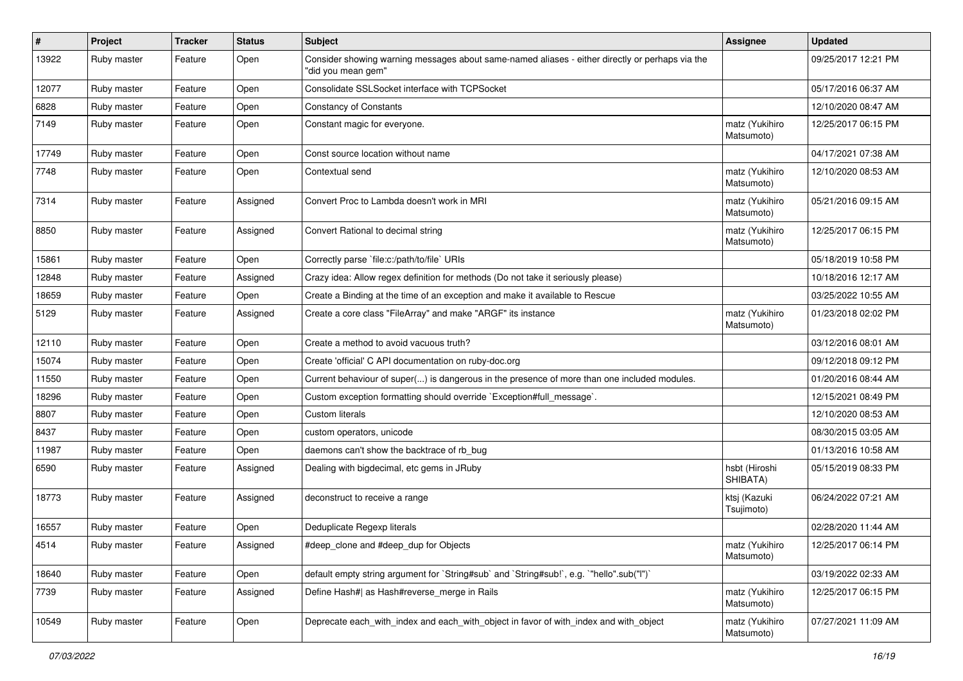| $\pmb{\#}$ | Project     | <b>Tracker</b> | <b>Status</b> | <b>Subject</b>                                                                                                        | <b>Assignee</b>              | <b>Updated</b>      |
|------------|-------------|----------------|---------------|-----------------------------------------------------------------------------------------------------------------------|------------------------------|---------------------|
| 13922      | Ruby master | Feature        | Open          | Consider showing warning messages about same-named aliases - either directly or perhaps via the<br>"did you mean gem" |                              | 09/25/2017 12:21 PM |
| 12077      | Ruby master | Feature        | Open          | Consolidate SSLSocket interface with TCPSocket                                                                        |                              | 05/17/2016 06:37 AM |
| 6828       | Ruby master | Feature        | Open          | <b>Constancy of Constants</b>                                                                                         |                              | 12/10/2020 08:47 AM |
| 7149       | Ruby master | Feature        | Open          | Constant magic for everyone.                                                                                          | matz (Yukihiro<br>Matsumoto) | 12/25/2017 06:15 PM |
| 17749      | Ruby master | Feature        | Open          | Const source location without name                                                                                    |                              | 04/17/2021 07:38 AM |
| 7748       | Ruby master | Feature        | Open          | Contextual send                                                                                                       | matz (Yukihiro<br>Matsumoto) | 12/10/2020 08:53 AM |
| 7314       | Ruby master | Feature        | Assigned      | Convert Proc to Lambda doesn't work in MRI                                                                            | matz (Yukihiro<br>Matsumoto) | 05/21/2016 09:15 AM |
| 8850       | Ruby master | Feature        | Assigned      | Convert Rational to decimal string                                                                                    | matz (Yukihiro<br>Matsumoto) | 12/25/2017 06:15 PM |
| 15861      | Ruby master | Feature        | Open          | Correctly parse `file:c:/path/to/file` URIs                                                                           |                              | 05/18/2019 10:58 PM |
| 12848      | Ruby master | Feature        | Assigned      | Crazy idea: Allow regex definition for methods (Do not take it seriously please)                                      |                              | 10/18/2016 12:17 AM |
| 18659      | Ruby master | Feature        | Open          | Create a Binding at the time of an exception and make it available to Rescue                                          |                              | 03/25/2022 10:55 AM |
| 5129       | Ruby master | Feature        | Assigned      | Create a core class "FileArray" and make "ARGF" its instance                                                          | matz (Yukihiro<br>Matsumoto) | 01/23/2018 02:02 PM |
| 12110      | Ruby master | Feature        | Open          | Create a method to avoid vacuous truth?                                                                               |                              | 03/12/2016 08:01 AM |
| 15074      | Ruby master | Feature        | Open          | Create 'official' C API documentation on ruby-doc.org                                                                 |                              | 09/12/2018 09:12 PM |
| 11550      | Ruby master | Feature        | Open          | Current behaviour of super() is dangerous in the presence of more than one included modules.                          |                              | 01/20/2016 08:44 AM |
| 18296      | Ruby master | Feature        | Open          | Custom exception formatting should override `Exception#full_message`.                                                 |                              | 12/15/2021 08:49 PM |
| 8807       | Ruby master | Feature        | Open          | Custom literals                                                                                                       |                              | 12/10/2020 08:53 AM |
| 8437       | Ruby master | Feature        | Open          | custom operators, unicode                                                                                             |                              | 08/30/2015 03:05 AM |
| 11987      | Ruby master | Feature        | Open          | daemons can't show the backtrace of rb bug                                                                            |                              | 01/13/2016 10:58 AM |
| 6590       | Ruby master | Feature        | Assigned      | Dealing with bigdecimal, etc gems in JRuby                                                                            | hsbt (Hiroshi<br>SHIBATA)    | 05/15/2019 08:33 PM |
| 18773      | Ruby master | Feature        | Assigned      | deconstruct to receive a range                                                                                        | ktsj (Kazuki<br>Tsujimoto)   | 06/24/2022 07:21 AM |
| 16557      | Ruby master | Feature        | Open          | Deduplicate Regexp literals                                                                                           |                              | 02/28/2020 11:44 AM |
| 4514       | Ruby master | Feature        | Assigned      | #deep_clone and #deep_dup for Objects                                                                                 | matz (Yukihiro<br>Matsumoto) | 12/25/2017 06:14 PM |
| 18640      | Ruby master | Feature        | Open          | default empty string argument for `String#sub` and `String#sub!`, e.g. `"hello".sub("I")`                             |                              | 03/19/2022 02:33 AM |
| 7739       | Ruby master | Feature        | Assigned      | Define Hash#  as Hash#reverse_merge in Rails                                                                          | matz (Yukihiro<br>Matsumoto) | 12/25/2017 06:15 PM |
| 10549      | Ruby master | Feature        | Open          | Deprecate each with index and each with object in favor of with index and with object                                 | matz (Yukihiro<br>Matsumoto) | 07/27/2021 11:09 AM |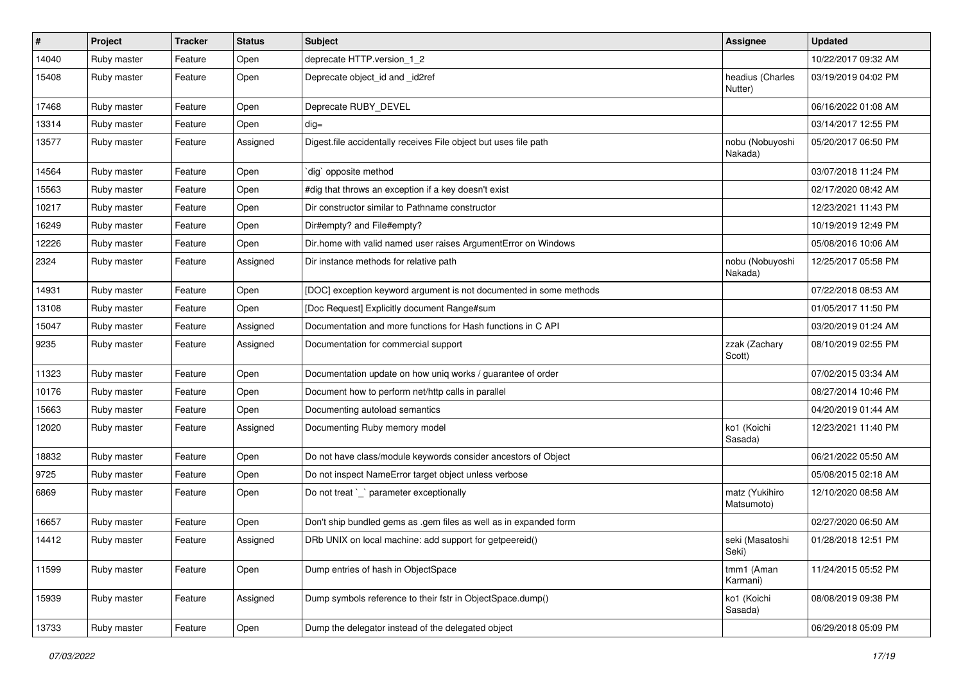| $\vert$ # | Project     | <b>Tracker</b> | <b>Status</b> | <b>Subject</b>                                                     | <b>Assignee</b>              | <b>Updated</b>      |
|-----------|-------------|----------------|---------------|--------------------------------------------------------------------|------------------------------|---------------------|
| 14040     | Ruby master | Feature        | Open          | deprecate HTTP.version_1_2                                         |                              | 10/22/2017 09:32 AM |
| 15408     | Ruby master | Feature        | Open          | Deprecate object_id and _id2ref                                    | headius (Charles<br>Nutter)  | 03/19/2019 04:02 PM |
| 17468     | Ruby master | Feature        | Open          | Deprecate RUBY_DEVEL                                               |                              | 06/16/2022 01:08 AM |
| 13314     | Ruby master | Feature        | Open          | $dig =$                                                            |                              | 03/14/2017 12:55 PM |
| 13577     | Ruby master | Feature        | Assigned      | Digest file accidentally receives File object but uses file path   | nobu (Nobuyoshi<br>Nakada)   | 05/20/2017 06:50 PM |
| 14564     | Ruby master | Feature        | Open          | dig` opposite method                                               |                              | 03/07/2018 11:24 PM |
| 15563     | Ruby master | Feature        | Open          | #dig that throws an exception if a key doesn't exist               |                              | 02/17/2020 08:42 AM |
| 10217     | Ruby master | Feature        | Open          | Dir constructor similar to Pathname constructor                    |                              | 12/23/2021 11:43 PM |
| 16249     | Ruby master | Feature        | Open          | Dir#empty? and File#empty?                                         |                              | 10/19/2019 12:49 PM |
| 12226     | Ruby master | Feature        | Open          | Dir.home with valid named user raises ArgumentError on Windows     |                              | 05/08/2016 10:06 AM |
| 2324      | Ruby master | Feature        | Assigned      | Dir instance methods for relative path                             | nobu (Nobuyoshi<br>Nakada)   | 12/25/2017 05:58 PM |
| 14931     | Ruby master | Feature        | Open          | [DOC] exception keyword argument is not documented in some methods |                              | 07/22/2018 08:53 AM |
| 13108     | Ruby master | Feature        | Open          | [Doc Request] Explicitly document Range#sum                        |                              | 01/05/2017 11:50 PM |
| 15047     | Ruby master | Feature        | Assigned      | Documentation and more functions for Hash functions in C API       |                              | 03/20/2019 01:24 AM |
| 9235      | Ruby master | Feature        | Assigned      | Documentation for commercial support                               | zzak (Zachary<br>Scott)      | 08/10/2019 02:55 PM |
| 11323     | Ruby master | Feature        | Open          | Documentation update on how uniq works / guarantee of order        |                              | 07/02/2015 03:34 AM |
| 10176     | Ruby master | Feature        | Open          | Document how to perform net/http calls in parallel                 |                              | 08/27/2014 10:46 PM |
| 15663     | Ruby master | Feature        | Open          | Documenting autoload semantics                                     |                              | 04/20/2019 01:44 AM |
| 12020     | Ruby master | Feature        | Assigned      | Documenting Ruby memory model                                      | ko1 (Koichi<br>Sasada)       | 12/23/2021 11:40 PM |
| 18832     | Ruby master | Feature        | Open          | Do not have class/module keywords consider ancestors of Object     |                              | 06/21/2022 05:50 AM |
| 9725      | Ruby master | Feature        | Open          | Do not inspect NameError target object unless verbose              |                              | 05/08/2015 02:18 AM |
| 6869      | Ruby master | Feature        | Open          | Do not treat `_` parameter exceptionally                           | matz (Yukihiro<br>Matsumoto) | 12/10/2020 08:58 AM |
| 16657     | Ruby master | Feature        | Open          | Don't ship bundled gems as .gem files as well as in expanded form  |                              | 02/27/2020 06:50 AM |
| 14412     | Ruby master | Feature        | Assigned      | DRb UNIX on local machine: add support for getpeereid()            | seki (Masatoshi<br>Seki)     | 01/28/2018 12:51 PM |
| 11599     | Ruby master | Feature        | Open          | Dump entries of hash in ObjectSpace                                | tmm1 (Aman<br>Karmani)       | 11/24/2015 05:52 PM |
| 15939     | Ruby master | Feature        | Assigned      | Dump symbols reference to their fstr in ObjectSpace.dump()         | ko1 (Koichi<br>Sasada)       | 08/08/2019 09:38 PM |
| 13733     | Ruby master | Feature        | Open          | Dump the delegator instead of the delegated object                 |                              | 06/29/2018 05:09 PM |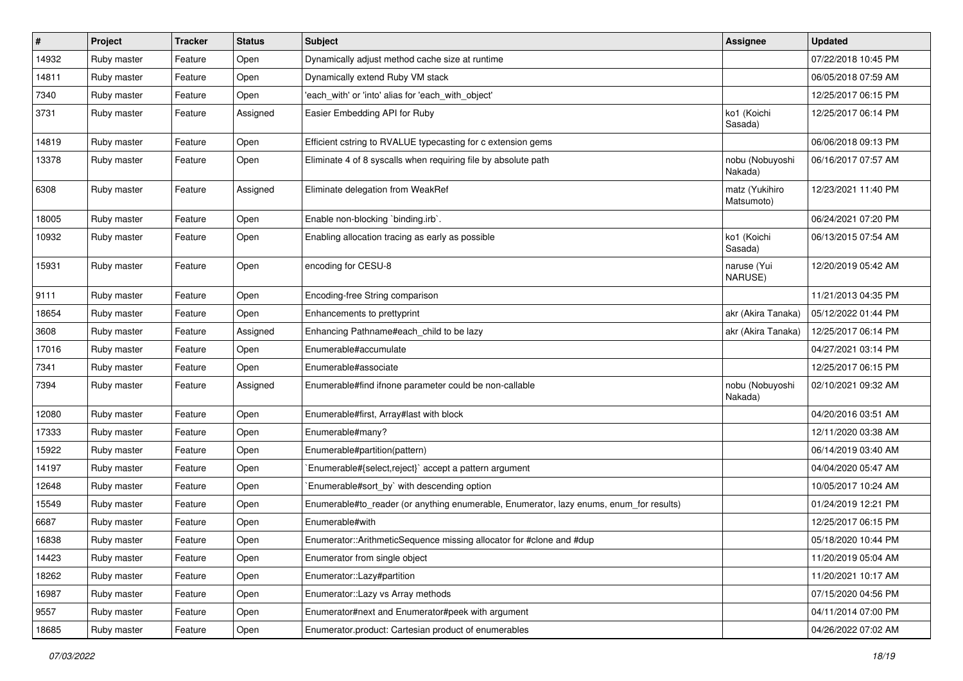| $\sharp$ | Project     | <b>Tracker</b> | <b>Status</b> | <b>Subject</b>                                                                          | <b>Assignee</b>              | <b>Updated</b>      |
|----------|-------------|----------------|---------------|-----------------------------------------------------------------------------------------|------------------------------|---------------------|
| 14932    | Ruby master | Feature        | Open          | Dynamically adjust method cache size at runtime                                         |                              | 07/22/2018 10:45 PM |
| 14811    | Ruby master | Feature        | Open          | Dynamically extend Ruby VM stack                                                        |                              | 06/05/2018 07:59 AM |
| 7340     | Ruby master | Feature        | Open          | 'each with' or 'into' alias for 'each with object'                                      |                              | 12/25/2017 06:15 PM |
| 3731     | Ruby master | Feature        | Assigned      | Easier Embedding API for Ruby                                                           | ko1 (Koichi<br>Sasada)       | 12/25/2017 06:14 PM |
| 14819    | Ruby master | Feature        | Open          | Efficient cstring to RVALUE typecasting for c extension gems                            |                              | 06/06/2018 09:13 PM |
| 13378    | Ruby master | Feature        | Open          | Eliminate 4 of 8 syscalls when requiring file by absolute path                          | nobu (Nobuyoshi<br>Nakada)   | 06/16/2017 07:57 AM |
| 6308     | Ruby master | Feature        | Assigned      | Eliminate delegation from WeakRef                                                       | matz (Yukihiro<br>Matsumoto) | 12/23/2021 11:40 PM |
| 18005    | Ruby master | Feature        | Open          | Enable non-blocking `binding.irb`.                                                      |                              | 06/24/2021 07:20 PM |
| 10932    | Ruby master | Feature        | Open          | Enabling allocation tracing as early as possible                                        | ko1 (Koichi<br>Sasada)       | 06/13/2015 07:54 AM |
| 15931    | Ruby master | Feature        | Open          | encoding for CESU-8                                                                     | naruse (Yui<br>NARUSE)       | 12/20/2019 05:42 AM |
| 9111     | Ruby master | Feature        | Open          | Encoding-free String comparison                                                         |                              | 11/21/2013 04:35 PM |
| 18654    | Ruby master | Feature        | Open          | Enhancements to prettyprint                                                             | akr (Akira Tanaka)           | 05/12/2022 01:44 PM |
| 3608     | Ruby master | Feature        | Assigned      | Enhancing Pathname#each_child to be lazy                                                | akr (Akira Tanaka)           | 12/25/2017 06:14 PM |
| 17016    | Ruby master | Feature        | Open          | Enumerable#accumulate                                                                   |                              | 04/27/2021 03:14 PM |
| 7341     | Ruby master | Feature        | Open          | Enumerable#associate                                                                    |                              | 12/25/2017 06:15 PM |
| 7394     | Ruby master | Feature        | Assigned      | Enumerable#find ifnone parameter could be non-callable                                  | nobu (Nobuyoshi<br>Nakada)   | 02/10/2021 09:32 AM |
| 12080    | Ruby master | Feature        | Open          | Enumerable#first, Array#last with block                                                 |                              | 04/20/2016 03:51 AM |
| 17333    | Ruby master | Feature        | Open          | Enumerable#many?                                                                        |                              | 12/11/2020 03:38 AM |
| 15922    | Ruby master | Feature        | Open          | Enumerable#partition(pattern)                                                           |                              | 06/14/2019 03:40 AM |
| 14197    | Ruby master | Feature        | Open          | Enumerable#{select,reject}` accept a pattern argument                                   |                              | 04/04/2020 05:47 AM |
| 12648    | Ruby master | Feature        | Open          | Enumerable#sort_by` with descending option                                              |                              | 10/05/2017 10:24 AM |
| 15549    | Ruby master | Feature        | Open          | Enumerable#to_reader (or anything enumerable, Enumerator, lazy enums, enum_for results) |                              | 01/24/2019 12:21 PM |
| 6687     | Ruby master | Feature        | Open          | Enumerable#with                                                                         |                              | 12/25/2017 06:15 PM |
| 16838    | Ruby master | Feature        | Open          | Enumerator::ArithmeticSequence missing allocator for #clone and #dup                    |                              | 05/18/2020 10:44 PM |
| 14423    | Ruby master | Feature        | Open          | Enumerator from single object                                                           |                              | 11/20/2019 05:04 AM |
| 18262    | Ruby master | Feature        | Open          | Enumerator::Lazy#partition                                                              |                              | 11/20/2021 10:17 AM |
| 16987    | Ruby master | Feature        | Open          | Enumerator::Lazy vs Array methods                                                       |                              | 07/15/2020 04:56 PM |
| 9557     | Ruby master | Feature        | Open          | Enumerator#next and Enumerator#peek with argument                                       |                              | 04/11/2014 07:00 PM |
| 18685    | Ruby master | Feature        | Open          | Enumerator.product: Cartesian product of enumerables                                    |                              | 04/26/2022 07:02 AM |